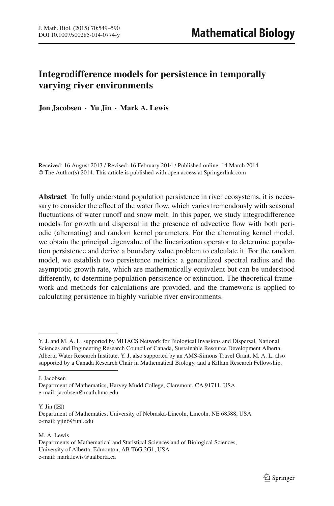# **Integrodifference models for persistence in temporally varying river environments**

**Jon Jacobsen · Yu Jin · Mark A. Lewis**

Received: 16 August 2013 / Revised: 16 February 2014 / Published online: 14 March 2014 © The Author(s) 2014. This article is published with open access at Springerlink.com

**Abstract** To fully understand population persistence in river ecosystems, it is necessary to consider the effect of the water flow, which varies tremendously with seasonal fluctuations of water runoff and snow melt. In this paper, we study integrodifference models for growth and dispersal in the presence of advective flow with both periodic (alternating) and random kernel parameters. For the alternating kernel model, we obtain the principal eigenvalue of the linearization operator to determine population persistence and derive a boundary value problem to calculate it. For the random model, we establish two persistence metrics: a generalized spectral radius and the asymptotic growth rate, which are mathematically equivalent but can be understood differently, to determine population persistence or extinction. The theoretical framework and methods for calculations are provided, and the framework is applied to calculating persistence in highly variable river environments.

J. Jacobsen

Y. Jin  $(\boxtimes)$ 

M. A. Lewis Departments of Mathematical and Statistical Sciences and of Biological Sciences, University of Alberta, Edmonton, AB T6G 2G1, USA e-mail: mark.lewis@ualberta.ca

Y. J. and M. A. L. supported by MITACS Network for Biological Invasions and Dispersal, National Sciences and Engineering Research Council of Canada, Sustainable Resource Development Alberta, Alberta Water Research Institute. Y. J. also supported by an AMS-Simons Travel Grant. M. A. L. also supported by a Canada Research Chair in Mathematical Biology, and a Killam Research Fellowship.

Department of Mathematics, Harvey Mudd College, Claremont, CA 91711, USA e-mail: jacobsen@math.hmc.edu

Department of Mathematics, University of Nebraska-Lincoln, Lincoln, NE 68588, USA e-mail: yjin6@unl.edu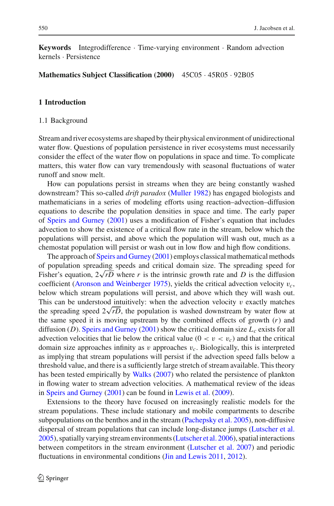**Keywords** Integrodifference · Time-varying environment · Random advection kernels · Persistence

**Mathematics Subject Classification (2000)** 45C05 · 45R05 · 92B05

# **1 Introduction**

#### 1.1 Background

Stream and river ecosystems are shaped by their physical environment of unidirectional water flow. Questions of population persistence in river ecosystems must necessarily consider the effect of the water flow on populations in space and time. To complicate matters, this water flow can vary tremendously with seasonal fluctuations of water runoff and snow melt.

How can populations persist in streams when they are being constantly washed downstream? This so-called *drift paradox* [\(Muller 1982](#page-41-0)) has engaged biologists and mathematicians in a series of modeling efforts using reaction–advection–diffusion equations to describe the population densities in space and time. The early paper of [Speirs and Gurney](#page-41-1) [\(2001](#page-41-1)) uses a modification of Fisher's equation that includes advection to show the existence of a critical flow rate in the stream, below which the populations will persist, and above which the population will wash out, much as a chemostat population will persist or wash out in low flow and high flow conditions.

The approach of [Speirs and Gurney](#page-41-1) [\(2001\)](#page-41-1) employs classical mathematical methods of population spreading speeds and critical domain size. The spreading speed for Fisher's equation, 2<sup>√</sup> *rD* where *r* is the intrinsic growth rate and *D* is the diffusion coefficient [\(Aronson and Weinberger 1975\)](#page-40-0), yields the critical advection velocity v*c*, below which stream populations will persist, and above which they will wash out. This can be understood intuitively: when the advection velocity  $v$  exactly matches This can be understood intuitively: when the advection velocity  $v$  exactly matches the spreading speed  $2\sqrt{rD}$ , the population is washed downstream by water flow at the same speed it is moving upstream by the combined effects of growth (*r*) and diffusion (*D*). [Speirs and Gurney](#page-41-1) [\(2001](#page-41-1)) show the critical domain size  $L_c$  exists for all advection velocities that lie below the critical value  $(0 < v < v<sub>c</sub>)$  and that the critical domain size approaches infinity as v approaches v*c*. Biologically, this is interpreted as implying that stream populations will persist if the advection speed falls below a threshold value, and there is a sufficiently large stretch of stream available. This theory has been tested empirically by [Walks](#page-41-2) [\(2007](#page-41-2)) who related the persistence of plankton in flowing water to stream advection velocities. A mathematical review of the ideas in [Speirs and Gurney](#page-41-1) [\(2001\)](#page-41-1) can be found in [Lewis et al.](#page-41-3) [\(2009](#page-41-3)).

Extensions to the theory have focused on increasingly realistic models for the stream populations. These include stationary and mobile compartments to describe subpopulations on the benthos and in the stream [\(Pachepsky et al. 2005](#page-41-4)), non-diffusive dispersal of stream populations that can include long-distance jumps [\(Lutscher et al.](#page-41-5) [2005\)](#page-41-5), spatially varying stream environments [\(Lutscher et al. 2006\)](#page-41-6), spatial interactions between competitors in the stream environment [\(Lutscher et al. 2007](#page-41-7)) and periodic fluctuations in environmental conditions [\(Jin and Lewis 2011](#page-40-1), [2012](#page-40-2)).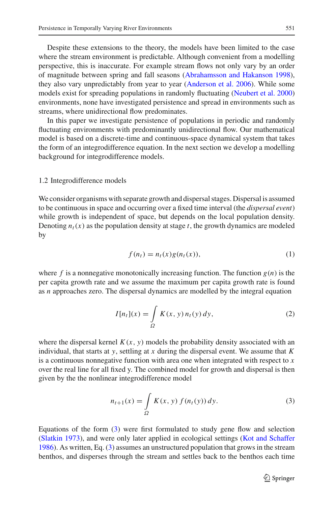Despite these extensions to the theory, the models have been limited to the case where the stream environment is predictable. Although convenient from a modelling perspective, this is inaccurate. For example stream flows not only vary by an order of magnitude between spring and fall seasons [\(Abrahamsson and Hakanson 1998](#page-40-3)), they also vary unpredictably from year to year [\(Anderson et al. 2006\)](#page-40-4). While some models exist for spreading populations in randomly fluctuating [\(Neubert et al. 2000\)](#page-41-8) environments, none have investigated persistence and spread in environments such as streams, where unidirectional flow predominates.

In this paper we investigate persistence of populations in periodic and randomly fluctuating environments with predominantly unidirectional flow. Our mathematical model is based on a discrete-time and continuous-space dynamical system that takes the form of an integrodifference equation. In the next section we develop a modelling background for integrodifference models.

#### 1.2 Integrodifference models

We consider organisms with separate growth and dispersal stages. Dispersal is assumed to be continuous in space and occurring over a fixed time interval (the *dispersal event*) while growth is independent of space, but depends on the local population density. Denoting  $n_t(x)$  as the population density at stage *t*, the growth dynamics are modeled by

$$
f(n_t) = n_t(x)g(n_t(x)),
$$
\n(1)

where  $f$  is a nonnegative monotonically increasing function. The function  $g(n)$  is the per capita growth rate and we assume the maximum per capita growth rate is found as *n* approaches zero. The dispersal dynamics are modelled by the integral equation

$$
I[n_t](x) = \int_{\Omega} K(x, y) n_t(y) dy,
$$
 (2)

where the dispersal kernel  $K(x, y)$  models the probability density associated with an individual, that starts at *y*, settling at *x* during the dispersal event. We assume that *K* is a continuous nonnegative function with area one when integrated with respect to *x* over the real line for all fixed y. The combined model for growth and dispersal is then given by the the nonlinear integrodifference model

$$
n_{t+1}(x) = \int_{\Omega} K(x, y) f(n_t(y)) dy.
$$
 (3)

<span id="page-2-0"></span>Equations of the form  $(3)$  were first formulated to study gene flow and selection [\(Slatkin 1973](#page-41-9)), and were only later applied in ecological settings [\(Kot and Schaffer](#page-40-5) [1986\)](#page-40-5). As written, Eq. [\(3\)](#page-2-0) assumes an unstructured population that grows in the stream benthos, and disperses through the stream and settles back to the benthos each time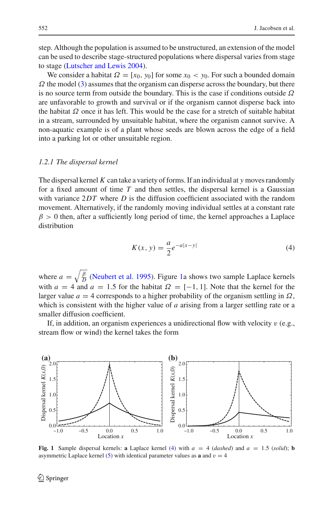step. Although the population is assumed to be unstructured, an extension of the model can be used to describe stage-structured populations where dispersal varies from stage to stage [\(Lutscher and Lewis 2004\)](#page-41-10).

We consider a habitat  $\Omega = [x_0, y_0]$  for some  $x_0 < y_0$ . For such a bounded domain  $\Omega$  the model [\(3\)](#page-2-0) assumes that the organism can disperse across the boundary, but there is no source term from outside the boundary. This is the case if conditions outside  $\Omega$ are unfavorable to growth and survival or if the organism cannot disperse back into the habitat  $\Omega$  once it has left. This would be the case for a stretch of suitable habitat in a stream, surrounded by unsuitable habitat, where the organism cannot survive. A non-aquatic example is of a plant whose seeds are blown across the edge of a field into a parking lot or other unsuitable region.

#### *1.2.1 The dispersal kernel*

The dispersal kernel *K* can take a variety of forms. If an individual at *y* moves randomly for a fixed amount of time *T* and then settles, the dispersal kernel is a Gaussian with variance 2DT where *D* is the diffusion coefficient associated with the random movement. Alternatively, if the randomly moving individual settles at a constant rate  $\beta > 0$  then, after a sufficiently long period of time, the kernel approaches a Laplace distribution

$$
K(x, y) = \frac{a}{2}e^{-a|x-y|}
$$
 (4)

<span id="page-3-1"></span>where  $a = \sqrt{\frac{\beta}{D}}$  [\(Neubert et al. 1995\)](#page-41-11). Figure [1a](#page-3-0) shows two sample Laplace kernels with  $a = 4$  and  $a = 1.5$  for the habitat  $\Omega = [-1, 1]$ . Note that the kernel for the larger value  $a = 4$  corresponds to a higher probability of the organism settling in  $\Omega$ , which is consistent with the higher value of *a* arising from a larger settling rate or a smaller diffusion coefficient.

If, in addition, an organism experiences a unidirectional flow with velocity  $v$  (e.g., stream flow or wind) the kernel takes the form



<span id="page-3-0"></span>**Fig. 1** Sample dispersal kernels: **a** Laplace kernel [\(4\)](#page-3-1) with  $a = 4$  (*dashed*) and  $a = 1.5$  (*solid*); **b** asymmetric Laplace kernel [\(5\)](#page-4-0) with identical parameter values as **a** and  $v = 4$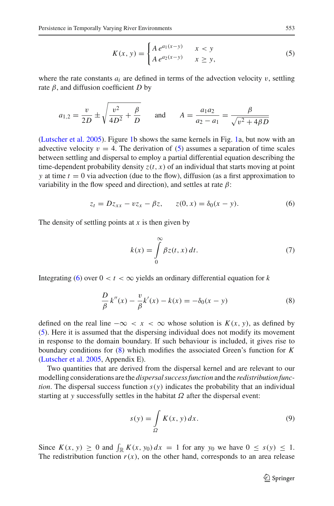$$
K(x, y) = \begin{cases} A e^{a_1(x-y)} & x < y \\ A e^{a_2(x-y)} & x \ge y, \end{cases}
$$
 (5)

<span id="page-4-0"></span>where the rate constants  $a_i$  are defined in terms of the advection velocity  $v$ , settling rate  $\beta$ , and diffusion coefficient *D* by

$$
a_{1,2} = \frac{v}{2D} \pm \sqrt{\frac{v^2}{4D^2} + \frac{\beta}{D}}
$$
 and  $A = \frac{a_1 a_2}{a_2 - a_1} = \frac{\beta}{\sqrt{v^2 + 4\beta D}}$ 

[\(Lutscher et al. 2005\)](#page-41-5). Figure [1b](#page-3-0) shows the same kernels in Fig. [1a](#page-3-0), but now with an advective velocity  $v = 4$ . The derivation of [\(5\)](#page-4-0) assumes a separation of time scales between settling and dispersal to employ a partial differential equation describing the time-dependent probability density  $z(t, x)$  of an individual that starts moving at point *y* at time  $t = 0$  via advection (due to the flow), diffusion (as a first approximation to variability in the flow speed and direction), and settles at rate  $\beta$ :

$$
z_t = Dz_{xx} - vz_x - \beta z, \qquad z(0, x) = \delta_0(x - y). \tag{6}
$$

<span id="page-4-1"></span>The density of settling points at *x* is then given by

$$
k(x) = \int_{0}^{\infty} \beta z(t, x) dt.
$$
 (7)

<span id="page-4-2"></span>Integrating [\(6\)](#page-4-1) over  $0 < t < \infty$  yields an ordinary differential equation for k

$$
\frac{D}{\beta} k''(x) - \frac{v}{\beta} k'(x) - k(x) = -\delta_0(x - y)
$$
\n(8)

defined on the real line  $-\infty < x < \infty$  whose solution is  $K(x, y)$ , as defined by [\(5\)](#page-4-0). Here it is assumed that the dispersing individual does not modify its movement in response to the domain boundary. If such behaviour is included, it gives rise to boundary conditions for [\(8\)](#page-4-2) which modifies the associated Green's function for *K* [\(Lutscher et al. 2005](#page-41-5), Appendix E).

Two quantities that are derived from the dispersal kernel and are relevant to our modelling considerations are the *dispersal success function* and the *redistribution function*. The dispersal success function  $s(y)$  indicates the probability that an individual starting at *y* successfully settles in the habitat  $\Omega$  after the dispersal event:

$$
s(y) = \int_{\Omega} K(x, y) dx.
$$
 (9)

<span id="page-4-3"></span>Since  $K(x, y) \ge 0$  and  $\int_{\mathbb{R}} K(x, y_0) dx = 1$  for any  $y_0$  we have  $0 \le s(y) \le 1$ . The redistribution function  $r(x)$ , on the other hand, corresponds to an area release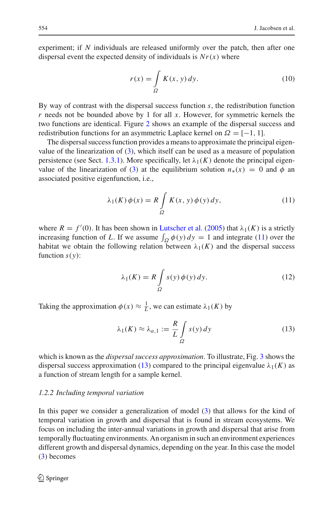experiment; if *N* individuals are released uniformly over the patch, then after one dispersal event the expected density of individuals is  $Nr(x)$  where

$$
r(x) = \int_{\Omega} K(x, y) dy.
$$
 (10)

<span id="page-5-2"></span>By way of contrast with the dispersal success function *s*, the redistribution function *r* needs not be bounded above by 1 for all *x*. However, for symmetric kernels the two functions are identical. Figure [2](#page-6-0) shows an example of the dispersal success and redistribution functions for an asymmetric Laplace kernel on  $\Omega = [-1, 1]$ .

The dispersal success function provides a means to approximate the principal eigenvalue of the linearization of  $(3)$ , which itself can be used as a measure of population persistence (see Sect. [1.3.1\)](#page-7-0). More specifically, let  $\lambda_1(K)$  denote the principal eigen-value of the linearization of [\(3\)](#page-2-0) at the equilibrium solution  $n_*(x) = 0$  and  $\phi$  and associated positive eigenfunction, i.e.,

$$
\lambda_1(K)\,\phi(x) = R \int\limits_{\Omega} K(x,\,y)\,\phi(y)\,dy,\tag{11}
$$

<span id="page-5-0"></span>where  $R = f'(0)$ . It has been shown in [Lutscher et al.](#page-41-5) [\(2005\)](#page-41-5) that  $\lambda_1(K)$  is a strictly increasing function of *L*. If we assume  $\int_{\Omega} \phi(y) dy = 1$  and integrate [\(11\)](#page-5-0) over the habitat we obtain the following relation between  $\lambda_1(K)$  and the dispersal success function  $s(y)$ :

$$
\lambda_1(K) = R \int_{\Omega} s(y) \phi(y) dy.
$$
 (12)

<span id="page-5-1"></span>Taking the approximation  $\phi(x) \approx \frac{1}{L}$ , we can estimate  $\lambda_1(K)$  by

$$
\lambda_1(K) \approx \lambda_{a,1} := \frac{R}{L} \int\limits_{\Omega} s(y) \, dy \tag{13}
$$

which is known as the *dispersal success approximation*. To illustrate, Fig. [3](#page-7-1) shows the dispersal success approximation [\(13\)](#page-5-1) compared to the principal eigenvalue  $\lambda_1(K)$  as a function of stream length for a sample kernel.

#### *1.2.2 Including temporal variation*

In this paper we consider a generalization of model [\(3\)](#page-2-0) that allows for the kind of temporal variation in growth and dispersal that is found in stream ecosystems. We focus on including the inter-annual variations in growth and dispersal that arise from temporally fluctuating environments. An organism in such an environment experiences different growth and dispersal dynamics, depending on the year. In this case the model [\(3\)](#page-2-0) becomes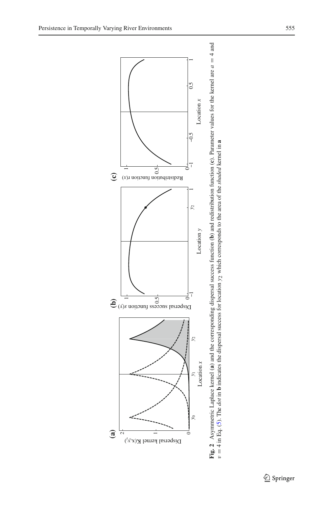

 $\sim$ 

 $\overline{\phantom{0}}$ 

<span id="page-6-0"></span>Dispersal kernel  $K(x,y)$ 

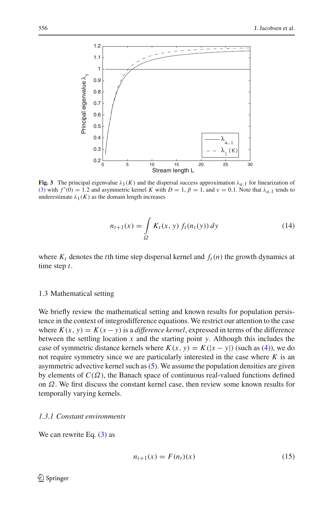

<span id="page-7-1"></span>**Fig. 3** The principal eigenvalue  $\lambda_1(K)$  and the dispersal success approximation  $\lambda_{a,1}$  for linearization of [\(3\)](#page-2-0) with  $f'(0) = 1.2$  and asymmetric kernel *K* with  $D = 1$ ,  $\beta = 1$ , and  $v = 0.1$ . Note that  $\lambda_{a,1}$  tends to underestimate  $\lambda_1(K)$  as the domain length increases

$$
n_{t+1}(x) = \int_{\Omega} K_t(x, y) f_t(n_t(y)) dy
$$
 (14)

where  $K_t$  denotes the *t*th time step dispersal kernel and  $f_t(n)$  the growth dynamics at time step *t*.

## 1.3 Mathematical setting

We briefly review the mathematical setting and known results for population persistence in the context of integrodifference equations. We restrict our attention to the case where  $K(x, y) = K(x - y)$  is a *difference kernel*, expressed in terms of the difference between the settling location *x* and the starting point *y*. Although this includes the case of symmetric distance kernels where  $K(x, y) = K(|x - y|)$  (such as [\(4\)](#page-3-1)), we do not require symmetry since we are particularly interested in the case where *K* is an asymmetric advective kernel such as [\(5\)](#page-4-0). We assume the population densities are given by elements of  $C(\Omega)$ , the Banach space of continuous real-valued functions defined on Ω. We first discuss the constant kernel case, then review some known results for temporally varying kernels.

#### <span id="page-7-0"></span>*1.3.1 Constant environments*

<span id="page-7-2"></span>We can rewrite Eq.  $(3)$  as

$$
n_{t+1}(x) = F(n_t)(x)
$$
 (15)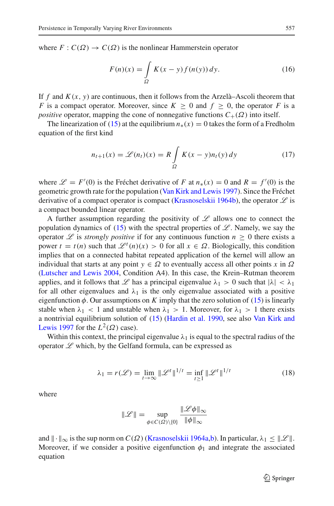where  $F: C(\Omega) \to C(\Omega)$  is the nonlinear Hammerstein operator

$$
F(n)(x) = \int_{\Omega} K(x - y) f(n(y)) dy.
$$
 (16)

If  $f$  and  $K(x, y)$  are continuous, then it follows from the Arzelà–Ascoli theorem that *F* is a compact operator. Moreover, since  $K > 0$  and  $f > 0$ , the operator *F* is a *positive* operator, mapping the cone of nonnegative functions  $C_+(\Omega)$  into itself.

The linearization of [\(15\)](#page-7-2) at the equilibrium  $n_*(x) = 0$  takes the form of a Fredholm equation of the first kind

$$
n_{t+1}(x) = \mathcal{L}(n_t)(x) = R \int_{\Omega} K(x - y)n_t(y) dy \qquad (17)
$$

<span id="page-8-0"></span>where  $\mathcal{L} = F'(0)$  is the Fréchet derivative of *F* at  $n_*(x) = 0$  and  $R = f'(0)$  is the geometric growth rate for the population [\(Van Kirk and Lewis 1997\)](#page-41-12). Since the Fréchet derivative of a compact operator is compact [\(Krasnoselskii 1964b](#page-41-13)), the operator *L* is a compact bounded linear operator.

A further assumption regarding the positivity of *L* allows one to connect the population dynamics of  $(15)$  with the spectral properties of  $\mathscr{L}$ . Namely, we say the operator *L* is *strongly positive* if for any continuous function  $n \geq 0$  there exists a power  $t = t(n)$  such that  $\mathcal{L}^t(n)(x) > 0$  for all  $x \in \Omega$ . Biologically, this condition implies that on a connected habitat repeated application of the kernel will allow an individual that starts at any point  $y \in \Omega$  to eventually access all other points *x* in  $\Omega$ [\(Lutscher and Lewis 2004,](#page-41-10) Condition A4). In this case, the Krein–Rutman theorem applies, and it follows that  $\mathscr L$  has a principal eigenvalue  $\lambda_1 > 0$  such that  $|\lambda| < \lambda_1$ for all other eigenvalues and  $\lambda_1$  is the only eigenvalue associated with a positive eigenfunction  $\phi$ . Our assumptions on *K* imply that the zero solution of [\(15\)](#page-7-2) is linearly stable when  $\lambda_1$  < 1 and unstable when  $\lambda_1$  > 1. Moreover, for  $\lambda_1$  > 1 there exists a non[trivial equilibrium solution of](#page-41-12) [\(15\)](#page-7-2)[\(Hardin et al. 1990](#page-40-6)[, see also](#page-41-12) Van Kirk and Lewis [1997](#page-41-12) for the  $L^2(\Omega)$  case).

Within this context, the principal eigenvalue  $\lambda_1$  is equal to the spectral radius of the operator *L* which, by the Gelfand formula, can be expressed as

$$
\lambda_1 = r(\mathcal{L}) = \lim_{t \to \infty} \|\mathcal{L}^t\|^{1/t} = \inf_{t \ge 1} \|\mathcal{L}^t\|^{1/t}
$$
 (18)

where

$$
\|\mathscr{L}\| = \sup_{\phi \in C(\Omega) \backslash \{0\}} \frac{\|\mathscr{L}\phi\|_\infty}{\|\phi\|_\infty}
$$

and  $\|\cdot\|_{\infty}$  is the sup norm on  $C(\Omega)$  [\(Krasnoselskii 1964a](#page-41-14)[,b\)](#page-41-13). In particular,  $\lambda_1 \leq \|\mathcal{L}\|$ . Moreover, if we consider a positive eigenfunction  $\phi_1$  and integrate the associated equation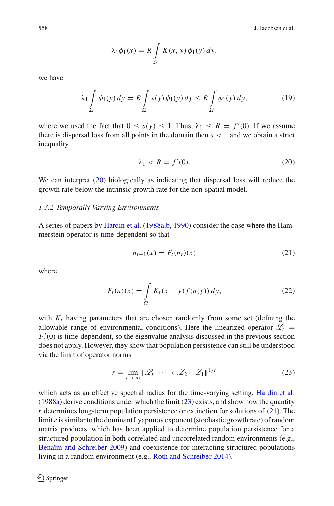$$
\lambda_1 \phi_1(x) = R \int_{\Omega} K(x, y) \phi_1(y) dy,
$$

we have

$$
\lambda_1 \int_{\Omega} \phi_1(y) \, dy = R \int_{\Omega} s(y) \phi_1(y) \, dy \le R \int_{\Omega} \phi_1(y) \, dy,\tag{19}
$$

where we used the fact that  $0 \le s(y) \le 1$ . Thus,  $\lambda_1 \le R = f'(0)$ . If we assume there is dispersal loss from all points in the domain then  $s < 1$  and we obtain a strict inequality

$$
\lambda_1 < R = f'(0). \tag{20}
$$

<span id="page-9-0"></span>We can interpret [\(20\)](#page-9-0) biologically as indicating that dispersal loss will reduce the growth rate below the intrinsic growth rate for the non-spatial model.

#### *1.3.2 Temporally Varying Environments*

A series of papers by [Hardin et al.](#page-40-7) [\(1988a](#page-40-7)[,b](#page-40-8), [1990](#page-40-6)) consider the case where the Hammerstein operator is time-dependent so that

$$
n_{t+1}(x) = F_t(n_t)(x)
$$
\n(21)

<span id="page-9-3"></span><span id="page-9-2"></span>where

$$
F_t(n)(x) = \int_{\Omega} K_t(x - y) f(n(y)) dy,
$$
\n(22)

with  $K_t$  having parameters that are chosen randomly from some set (defining the allowable range of environmental conditions). Here the linearized operator  $\mathscr{L}_t$  =  $F_t'(0)$  is time-dependent, so the eigenvalue analysis discussed in the previous section does not apply. However, they show that population persistence can still be understood via the limit of operator norms

$$
r = \lim_{t \to \infty} \|\mathcal{L}_t \circ \cdots \circ \mathcal{L}_2 \circ \mathcal{L}_1\|^{1/t} \tag{23}
$$

<span id="page-9-1"></span>which acts as an effective spectral radius for the time-varying setting. [Hardin et al.](#page-40-7)  $(1988a)$  $(1988a)$  derive conditions under which the limit  $(23)$  exists, and show how the quantity *r* determines long-term population persistence or extinction for solutions of [\(21\)](#page-9-2). The limit r is similar to the dominant Lyapunov exponent (stochastic growth rate) of random matrix products, which has been applied to determine population persistence for a structured population in both correlated and uncorrelated random environments (e.g., [Benaïm and Schreiber 2009\)](#page-40-9) and coexistence for interacting structured populations living in a random environment (e.g., [Roth and Schreiber 2014\)](#page-41-15).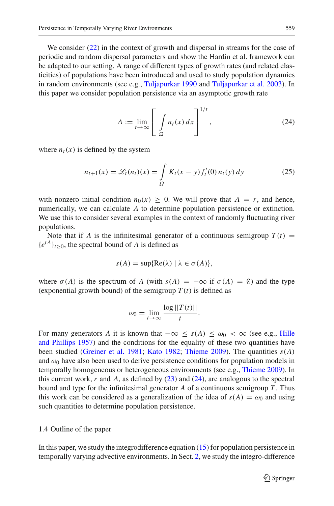We consider [\(22\)](#page-9-3) in the context of growth and dispersal in streams for the case of periodic and random dispersal parameters and show the Hardin et al. framework can be adapted to our setting. A range of different types of growth rates (and related elasticities) of populations have been introduced and used to study population dynamics in random environments (see e.g., [Tuljapurkar 1990](#page-41-16) and [Tuljapurkar et al. 2003](#page-41-17)). In this paper we consider population persistence via an asymptotic growth rate

$$
\Lambda := \lim_{t \to \infty} \left[ \int_{\Omega} n_t(x) \, dx \right]^{1/t},\tag{24}
$$

<span id="page-10-0"></span>where  $n_t(x)$  is defined by the system

$$
n_{t+1}(x) = \mathcal{L}_t(n_t)(x) = \int_{\Omega} K_t(x - y) f'_t(0) n_t(y) dy
$$
 (25)

with nonzero initial condition  $n_0(x) \geq 0$ . We will prove that  $\Lambda = r$ , and hence, numerically, we can calculate  $\Lambda$  to determine population persistence or extinction. We use this to consider several examples in the context of randomly fluctuating river populations.

Note that if *A* is the infinitesimal generator of a continuous semigroup  $T(t)$  =  ${e^{tA}}_{t>0}$ , the spectral bound of *A* is defined as

$$
s(A) = \sup\{ \text{Re}(\lambda) \mid \lambda \in \sigma(A) \},
$$

where  $\sigma(A)$  is the spectrum of *A* (with  $s(A) = -\infty$  if  $\sigma(A) = \emptyset$ ) and the type (exponential growth bound) of the semigroup  $T(t)$  is defined as

$$
\omega_0 = \lim_{t \to \infty} \frac{\log ||T(t)||}{t}.
$$

For many generators *A* [it is known that](#page-40-10)  $-\infty \le s(A) \le \omega_0 < \infty$  (see e.g., Hille and Phillips [1957](#page-40-10)) and the conditions for the equality of these two quantities have been studied [\(Greiner et al. 1981;](#page-40-11) [Kato 1982](#page-40-12); [Thieme 2009\)](#page-41-18). The quantities *s*(*A*) and  $\omega_0$  have also been used to derive persistence conditions for population models in temporally homogeneous or heterogeneous environments (see e.g., [Thieme 2009\)](#page-41-18). In this current work, *r* and  $\Lambda$ , as defined by [\(23\)](#page-9-1) and [\(24\)](#page-10-0), are analogous to the spectral bound and type for the infinitesimal generator *A* of a continuous semigroup *T* . Thus this work can be considered as a generalization of the idea of  $s(A) = \omega_0$  and using such quantities to determine population persistence.

## 1.4 Outline of the paper

In this paper, we study the integrodifference equation [\(15\)](#page-7-2) for population persistence in temporally varying advective environments. In Sect. [2,](#page-11-0) we study the integro-difference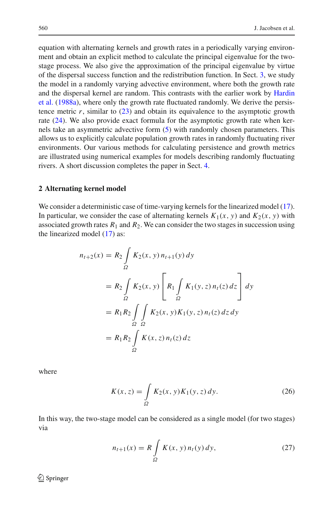equation with alternating kernels and growth rates in a periodically varying environment and obtain an explicit method to calculate the principal eigenvalue for the twostage process. We also give the approximation of the principal eigenvalue by virtue of the dispersal success function and the redistribution function. In Sect. [3,](#page-16-0) we study the model in a randomly varying advective environment, where both the growth rate and [the](#page-40-7) [dispersal](#page-40-7) [kernel](#page-40-7) [are](#page-40-7) [random.](#page-40-7) [This](#page-40-7) [contrasts](#page-40-7) [with](#page-40-7) [the](#page-40-7) [earlier](#page-40-7) [work](#page-40-7) [by](#page-40-7) Hardin et al. [\(1988a\)](#page-40-7), where only the growth rate fluctuated randomly. We derive the persistence metric  $r$ , similar to  $(23)$  and obtain its equivalence to the asymptotic growth rate [\(24\)](#page-10-0). We also provide exact formula for the asymptotic growth rate when kernels take an asymmetric advective form [\(5\)](#page-4-0) with randomly chosen parameters. This allows us to explicitly calculate population growth rates in randomly fluctuating river environments. Our various methods for calculating persistence and growth metrics are illustrated using numerical examples for models describing randomly fluctuating rivers. A short discussion completes the paper in Sect. [4.](#page-23-0)

#### <span id="page-11-0"></span>**2 Alternating kernel model**

We consider a deterministic case of time-varying kernels for the linearized model [\(17\)](#page-8-0). In particular, we consider the case of alternating kernels  $K_1(x, y)$  and  $K_2(x, y)$  with associated growth rates  $R_1$  and  $R_2$ . We can consider the two stages in succession using the linearized model [\(17\)](#page-8-0) as:

$$
n_{t+2}(x) = R_2 \int_{\Omega} K_2(x, y) n_{t+1}(y) dy
$$
  
=  $R_2 \int_{\Omega} K_2(x, y) \left[ R_1 \int_{\Omega} K_1(y, z) n_t(z) dz \right] dy$   
=  $R_1 R_2 \int_{\Omega} \int_{\Omega} K_2(x, y) K_1(y, z) n_t(z) dz dy$   
=  $R_1 R_2 \int_{\Omega} K(x, z) n_t(z) dz$ 

<span id="page-11-1"></span>where

$$
K(x, z) = \int_{\Omega} K_2(x, y) K_1(y, z) dy.
$$
 (26)

<span id="page-11-2"></span>In this way, the two-stage model can be considered as a single model (for two stages) via

$$
n_{t+1}(x) = R \int_{\Omega} K(x, y) n_t(y) dy,
$$
 (27)

 $\circled{2}$  Springer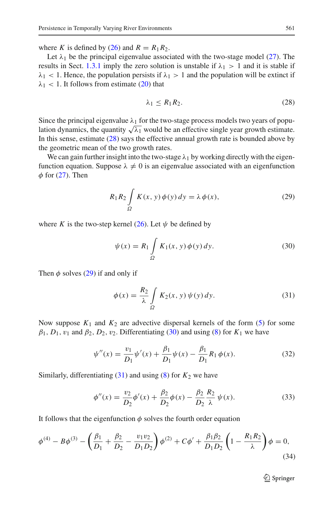where *K* is defined by [\(26\)](#page-11-1) and  $R = R_1 R_2$ .

Let  $\lambda_1$  be the principal eigenvalue associated with the two-stage model [\(27\)](#page-11-2). The results in Sect. [1.3.1](#page-7-0) imply the zero solution is unstable if  $\lambda_1 > 1$  and it is stable if  $\lambda_1$  < 1. Hence, the population persists if  $\lambda_1 > 1$  and the population will be extinct if  $\lambda_1$  < 1. It follows from estimate [\(20\)](#page-9-0) that

<span id="page-12-0"></span>
$$
\lambda_1 \le R_1 R_2. \tag{28}
$$

Since the principal eigenvalue  $\lambda_1$  for the two-stage process models two years of population dynamics, the quantity  $\sqrt{\lambda_1}$  would be an effective single year growth estimate. In this sense, estimate [\(28\)](#page-12-0) says the effective annual growth rate is bounded above by the geometric mean of the two growth rates.

We can gain further insight into the two-stage  $\lambda_1$  by working directly with the eigenfunction equation. Suppose  $\lambda \neq 0$  is an eigenvalue associated with an eigenfunction  $\phi$  for [\(27\)](#page-11-2). Then

$$
R_1 R_2 \int\limits_{\Omega} K(x, y) \phi(y) dy = \lambda \phi(x), \tag{29}
$$

<span id="page-12-2"></span><span id="page-12-1"></span>where *K* is the two-step kernel [\(26\)](#page-11-1). Let  $\psi$  be defined by

$$
\psi(x) = R_1 \int_{\Omega} K_1(x, y) \phi(y) dy.
$$
\n(30)

<span id="page-12-3"></span>Then  $\phi$  solves [\(29\)](#page-12-1) if and only if

$$
\phi(x) = \frac{R_2}{\lambda} \int\limits_{\Omega} K_2(x, y) \psi(y) \, dy. \tag{31}
$$

Now suppose  $K_1$  and  $K_2$  are advective dispersal kernels of the form [\(5\)](#page-4-0) for some  $\beta_1$ ,  $D_1$ ,  $v_1$  and  $\beta_2$ ,  $D_2$ ,  $v_2$ . Differentiating [\(30\)](#page-12-2) and using [\(8\)](#page-4-2) for  $K_1$  we have

$$
\psi''(x) = \frac{v_1}{D_1} \psi'(x) + \frac{\beta_1}{D_1} \psi(x) - \frac{\beta_1}{D_1} R_1 \phi(x).
$$
 (32)

<span id="page-12-4"></span>Similarly, differentiating  $(31)$  and using  $(8)$  for  $K_2$  we have

$$
\phi''(x) = \frac{v_2}{D_2} \phi'(x) + \frac{\beta_2}{D_2} \phi(x) - \frac{\beta_2}{D_2} \frac{R_2}{\lambda} \psi(x).
$$
 (33)

It follows that the eigenfunction  $\phi$  solves the fourth order equation

<span id="page-12-5"></span>
$$
\phi^{(4)} - B\phi^{(3)} - \left(\frac{\beta_1}{D_1} + \frac{\beta_2}{D_2} - \frac{v_1 v_2}{D_1 D_2}\right)\phi^{(2)} + C\phi' + \frac{\beta_1 \beta_2}{D_1 D_2} \left(1 - \frac{R_1 R_2}{\lambda}\right)\phi = 0,
$$
\n(34)

 $\mathcal{D}$  Springer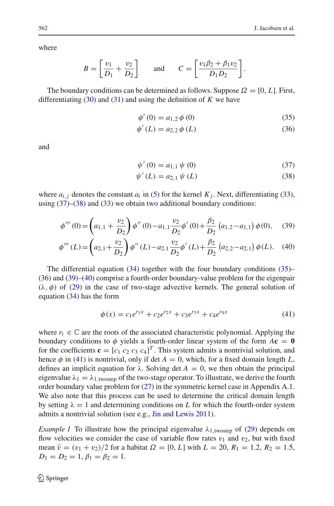where

$$
B = \left[\frac{v_1}{D_1} + \frac{v_2}{D_2}\right] \quad \text{and} \quad C = \left[\frac{v_1 \beta_2 + \beta_1 v_2}{D_1 D_2}\right].
$$

<span id="page-13-1"></span>The boundary conditions can be determined as follows. Suppose  $\Omega = [0, L]$ . First, differentiating  $(30)$  and  $(31)$  and using the definition of *K* we have

$$
\phi'(0) = a_{1,2} \phi(0) \tag{35}
$$

$$
\phi'(L) = a_{2,2} \phi(L) \tag{36}
$$

<span id="page-13-0"></span>and

$$
\psi'(0) = a_{1,1} \psi(0) \tag{37}
$$

$$
\psi'(L) = a_{2,1} \psi(L) \tag{38}
$$

<span id="page-13-2"></span>where  $a_{i,j}$  denotes the constant  $a_i$  in [\(5\)](#page-4-0) for the kernel  $K_j$ . Next, differentiating [\(33\)](#page-12-4), using  $(37)$ – $(38)$  and  $(33)$  we obtain two additional boundary conditions:

$$
\phi'''(0) = \left(a_{1,1} + \frac{v_2}{D_2}\right)\phi''(0) - a_{1,1}\frac{v_2}{D_2}\phi'(0) + \frac{\beta_2}{D_2}\left(a_{1,2} - a_{1,1}\right)\phi(0),\tag{39}
$$

$$
\phi'''(L) = \left(a_{2,1} + \frac{v_2}{D_2}\right)\phi''(L) - a_{2,1}\frac{v_2}{D_2}\phi'(L) + \frac{\beta_2}{D_2}\left(a_{2,2} - a_{2,1}\right)\phi(L). \tag{40}
$$

The differential equation  $(34)$  together with the four boundary conditions  $(35)$ – [\(36\)](#page-13-1) and [\(39\)](#page-13-2)–[\(40\)](#page-13-2) comprise a fourth-order boundary-value problem for the eigenpair  $(\lambda, \phi)$  of [\(29\)](#page-12-1) in the case of two-stage advective kernels. The general solution of equation [\(34\)](#page-12-5) has the form

$$
\phi(x) = c_1 e^{r_1 x} + c_2 e^{r_2 x} + c_3 e^{r_3 x} + c_4 e^{r_4 x} \tag{41}
$$

<span id="page-13-3"></span>where  $r_i \in \mathbb{C}$  are the roots of the associated characteristic polynomial. Applying the boundary conditions to  $\phi$  yields a fourth-order linear system of the form  $A\mathbf{c} = \mathbf{0}$ for the coefficients  $\mathbf{c} = [c_1 \ c_2 \ c_3 \ c_4]^T$ . This system admits a nontrivial solution, and hence  $\phi$  in [\(41\)](#page-13-3) is nontrivial, only if det  $A = 0$ , which, for a fixed domain length *L*, defines an implicit equation for  $\lambda$ . Solving det  $A = 0$ , we then obtain the principal eigenvalue  $\lambda_1 = \lambda_{1,\text{two-step}}$  of the two-stage operator. To illustrate, we derive the fourth order boundary value problem for  $(27)$  in the symmetric kernel case in Appendix A.1. We also note that this process can be used to determine the critical domain length by setting  $\lambda = 1$  and determining conditions on L for which the fourth-order system admits a nontrivial solution (see e.g., [Jin and Lewis 2011\)](#page-40-1).

<span id="page-13-4"></span>*Example 1* To illustrate how the principal eigenvalue  $\lambda_{1.}$  twostep of [\(29\)](#page-12-1) depends on flow velocities we consider the case of variable flow rates  $v_1$  and  $v_2$ , but with fixed mean  $\bar{v} = (v_1 + v_2)/2$  for a habitat  $\Omega = [0, L]$  with  $L = 20$ ,  $R_1 = 1.2$ ,  $R_2 = 1.5$ ,  $D_1 = D_2 = 1, \beta_1 = \beta_2 = 1.$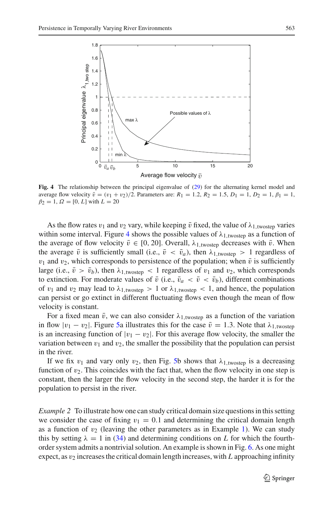

<span id="page-14-0"></span>**Fig. 4** The relationship between the principal eigenvalue of [\(29\)](#page-12-1) for the alternating kernel model and average flow velocity  $\bar{v} = (v_1 + v_2)/2$ . Parameters are:  $R_1 = 1.2$ ,  $R_2 = 1.5$ ,  $D_1 = 1$ ,  $D_2 = 1$ ,  $\beta_1 = 1$ ,  $\beta_2 = 1, \Omega = [0, L]$  with  $L = 20$ 

As the flow rates  $v_1$  and  $v_2$  vary, while keeping  $\bar{v}$  fixed, the value of  $\lambda_{1,\text{twostep}}$  varies within some interval. Figure [4](#page-14-0) shows the possible values of  $\lambda_{1,\text{twostep}}$  as a function of the average of flow velocity  $\bar{v} \in [0, 20]$ . Overall,  $\lambda_{1, \text{twostep}}$  decreases with  $\bar{v}$ . When the average  $\bar{v}$  is sufficiently small (i.e.,  $\bar{v} < \bar{v}_a$ ), then  $\lambda_{1,\text{twosten}} > 1$  regardless of  $v_1$  and  $v_2$ , which corresponds to persistence of the population; when  $\bar{v}$  is sufficiently large (i.e.,  $\bar{v} > \bar{v}_b$ ), then  $\lambda_{1.$ twostep < 1 regardless of  $v_1$  and  $v_2$ , which corresponds to extinction. For moderate values of  $\bar{v}$  (i.e.,  $\bar{v}_a < \bar{v} < \bar{v}_b$ ), different combinations of  $v_1$  and  $v_2$  may lead to  $\lambda_{1,\text{twostep}} > 1$  or  $\lambda_{1,\text{twostep}} < 1$ , and hence, the population can persist or go extinct in different fluctuating flows even though the mean of flow velocity is constant.

For a fixed mean  $\bar{v}$ , we can also consider  $\lambda_{1.1}$  twostep as a function of the variation in flow  $|v_1 - v_2|$ . Figure [5a](#page-15-0) illustrates this for the case  $\bar{v} = 1.3$ . Note that  $\lambda_{1,\text{twostep}}$ is an increasing function of  $|v_1 - v_2|$ . For this average flow velocity, the smaller the variation between  $v_1$  and  $v_2$ , the smaller the possibility that the population can persist in the river.

If we fix  $v_1$  and vary only  $v_2$ , then Fig. [5b](#page-15-0) shows that  $\lambda_{1,\text{twostep}}$  is a decreasing function of  $v_2$ . This coincides with the fact that, when the flow velocity in one step is constant, then the larger the flow velocity in the second step, the harder it is for the population to persist in the river.

<span id="page-14-1"></span>*Example 2* To illustrate how one can study critical domain size questions in this setting we consider the case of fixing  $v_1 = 0.1$  and determining the critical domain length as a function of  $v_2$  (leaving the other parameters as in Example [1\)](#page-13-4). We can study this by setting  $\lambda = 1$  in [\(34\)](#page-12-5) and determining conditions on L for which the fourthorder system admits a nontrivial solution. An example is shown in Fig. [6.](#page-15-1) As one might expect, as  $v_2$  increases the critical domain length increases, with L approaching infinity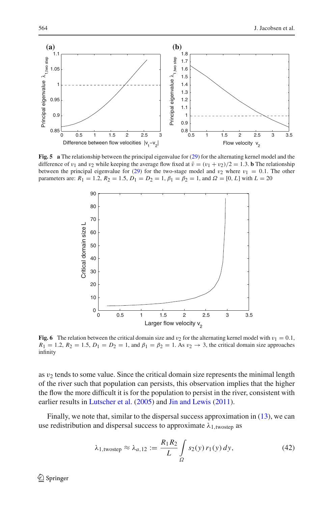

<span id="page-15-0"></span>**Fig. 5** a The relationship between the principal eigenvalue for [\(29\)](#page-12-1) for the alternating kernel model and the difference of  $v_1$  and  $v_2$  while keeping the average flow fixed at  $\bar{v} = (v_1 + v_2)/2 = 1.3$ . **b** The relationship between the principal eigenvalue for [\(29\)](#page-12-1) for the two-stage model and  $v_2$  where  $v_1 = 0.1$ . The other parameters are:  $R_1 = 1.2$ ,  $R_2 = 1.5$ ,  $D_1 = D_2 = 1$ ,  $\beta_1 = \beta_2 = 1$ , and  $\Omega = [0, L]$  with  $L = 20$ 



<span id="page-15-1"></span>**Fig. 6** The relation between the critical domain size and  $v_2$  for the alternating kernel model with  $v_1 = 0.1$ ,  $R_1 = 1.2$ ,  $R_2 = 1.5$ ,  $D_1 = D_2 = 1$ , and  $\beta_1 = \beta_2 = 1$ . As  $v_2 \rightarrow 3$ , the critical domain size approaches infinity

as  $v_2$  tends to some value. Since the critical domain size represents the minimal length of the river such that population can persists, this observation implies that the higher the flow the more difficult it is for the population to persist in the river, consistent with earlier results in [Lutscher et al.](#page-41-5) [\(2005\)](#page-41-5) and [Jin and Lewis](#page-40-1) [\(2011](#page-40-1)).

Finally, we note that, similar to the dispersal success approximation in [\(13\)](#page-5-1), we can use redistribution and dispersal success to approximate  $\lambda_{1,\text{twostep}}$  as

$$
\lambda_{1,\text{twostep}} \approx \lambda_{a,12} := \frac{R_1 R_2}{L} \int_{\Omega} s_2(y) \, r_1(y) \, dy,\tag{42}
$$

 $\mathcal{L}$  Springer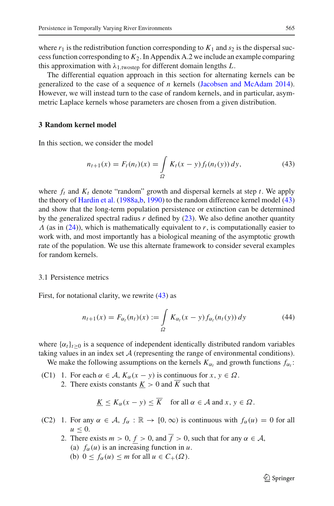where  $r_1$  is the redistribution function corresponding to  $K_1$  and  $s_2$  is the dispersal success function corresponding to *K*2. In Appendix A.2 we include an example comparing this approximation with  $\lambda_{1,\text{twosten}}$  for different domain lengths *L*.

The differential equation approach in this section for alternating kernels can be generalized to the case of a sequence of *n* kernels [\(Jacobsen and McAdam 2014](#page-40-13)). However, we will instead turn to the case of random kernels, and in particular, asymmetric Laplace kernels whose parameters are chosen from a given distribution.

# <span id="page-16-0"></span>**3 Random kernel model**

<span id="page-16-1"></span>In this section, we consider the model

$$
n_{t+1}(x) = F_t(n_t)(x) = \int_{\Omega} K_t(x - y) f_t(n_t(y)) dy,
$$
\n(43)

where  $f_t$  and  $K_t$  denote "random" growth and dispersal kernels at step  $t$ . We apply the theory of [Hardin et al.](#page-40-7) [\(1988a](#page-40-7)[,b,](#page-40-8) [1990](#page-40-6)) to the random difference kernel model [\(43\)](#page-16-1) and show that the long-term population persistence or extinction can be determined by the generalized spectral radius  $r$  defined by  $(23)$ . We also define another quantity  $\Lambda$  (as in [\(24\)](#page-10-0)), which is mathematically equivalent to  $r$ , is computationally easier to work with, and most importantly has a biological meaning of the asymptotic growth rate of the population. We use this alternate framework to consider several examples for random kernels.

#### 3.1 Persistence metrics

<span id="page-16-2"></span>First, for notational clarity, we rewrite [\(43\)](#page-16-1) as

$$
n_{t+1}(x) = F_{\alpha_t}(n_t)(x) := \int_{\Omega} K_{\alpha_t}(x - y) f_{\alpha_t}(n_t(y)) dy \qquad (44)
$$

where  $\{\alpha_t\}_{t>0}$  is a sequence of independent identically distributed random variables taking values in an index set  $A$  (representing the range of environmental conditions).

We make the following assumptions on the kernels  $K_{\alpha_t}$  and growth functions  $f_{\alpha_t}$ :

(C1) 1. For each  $\alpha \in A$ ,  $K_{\alpha}(x - y)$  is continuous for  $x, y \in \Omega$ . 2. There exists constants  $K > 0$  and  $\overline{K}$  such that

$$
\underline{K} \le K_{\alpha}(x - y) \le \overline{K} \quad \text{for all } \alpha \in \mathcal{A} \text{ and } x, y \in \Omega.
$$

- (C2) 1. For any  $\alpha \in \mathcal{A}$ ,  $f_{\alpha} : \mathbb{R} \to [0, \infty)$  is continuous with  $f_{\alpha}(u) = 0$  for all  $u \leq 0$ .
	- 2. There exists  $m > 0$ ,  $f > 0$ , and  $\overline{f} > 0$ , such that for any  $\alpha \in \mathcal{A}$ , (a)  $f_\alpha(u)$  is an increasing function in *u*.
		- (b)  $0 \le f_\alpha(u) \le m$  for all  $u \in C_+(\Omega)$ .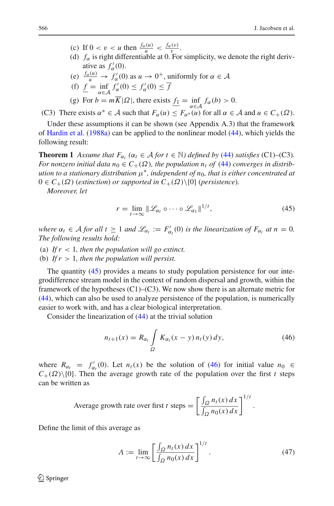- (c) If  $0 < v < u$  then  $\frac{f_{\alpha}(u)}{u} < \frac{f_{\alpha}(v)}{v}$ .
- (d)  $f_{\alpha}$  is right differentiable at 0. For simplicity, we denote the right derivative as  $f'_{\alpha}(0)$ .
- (e)  $\frac{f_{\alpha}(u)}{u} \to f_{\alpha}'(0)$  as  $u \to 0^+$ , uniformly for  $\alpha \in \mathcal{A}$
- (f)  $\underline{f} = \inf_{\alpha \in A} f'_{\alpha}(0) \le f'_{\alpha}(0) \le \overline{f}$
- (g) For  $b = mK|\Omega|$ , there exists  $f_1 = \inf_{\alpha \in \mathcal{A}} f_\alpha(b) > 0$ .

(C3) There exists  $\alpha^* \in A$  such that  $F_\alpha(u) \leq F_{\alpha^*}(u)$  for all  $\alpha \in A$  and  $u \in C_+(\Omega)$ .

Under these assumptions it can be shown (see Appendix A.3) that the framework of [Hardin et al.](#page-40-7) [\(1988a\)](#page-40-7) can be applied to the nonlinear model [\(44\)](#page-16-2), which yields the following result:

<span id="page-17-3"></span>**Theorem 1** Assume that  $F_{\alpha_t}$  ( $\alpha_t \in A$  for  $t \in \mathbb{N}$ ) defined by [\(44\)](#page-16-2) satisfies (C1)–(C3). *For nonzero initial data*  $n_0 \in C_+(\Omega)$ , the population  $n_t$  of [\(44\)](#page-16-2) converges in distrib*ution to a stationary distribution* μ∗*, independent of n*0*, that is either concentrated at*  $0 \in C_+(\Omega)$  (*extinction*) *or supported in*  $C_+(\Omega) \setminus \{0\}$  (*persistence*).

<span id="page-17-0"></span>*Moreover, let*

$$
r = \lim_{t \to \infty} \|\mathcal{L}_{\alpha_t} \circ \cdots \circ \mathcal{L}_{\alpha_1}\|^{1/t},\tag{45}
$$

*where*  $\alpha_t \in A$  *for all*  $t \ge 1$  *and*  $\mathcal{L}_{\alpha_t} := F'_{\alpha_t}(0)$  *is the linearization of*  $F_{\alpha_t}$  *at*  $n = 0$ *. The following results hold:*

- (a) If  $r < 1$ , then the population will go extinct.
- (b) *If r* > 1*, then the population will persist.*

The quantity [\(45\)](#page-17-0) provides a means to study population persistence for our integrodifference stream model in the context of random dispersal and growth, within the framework of the hypotheses  $(C1)$ – $(C3)$ . We now show there is an alternate metric for [\(44\)](#page-16-2), which can also be used to analyze persistence of the population, is numerically easier to work with, and has a clear biological interpretation.

<span id="page-17-1"></span>Consider the linearization of [\(44\)](#page-16-2) at the trivial solution

$$
n_{t+1}(x) = R_{\alpha_t} \int_{\Omega} K_{\alpha_t}(x - y) n_t(y) \, dy,\tag{46}
$$

where  $R_{\alpha_t} = f'_{\alpha_t}(0)$ . Let  $n_t(x)$  be the solution of [\(46\)](#page-17-1) for initial value  $n_0 \in$  $C_{+}(\Omega)\setminus\{0\}$ . Then the average growth rate of the population over the first *t* steps can be written as

Average growth rate over first *t* steps = 
$$
\left[\frac{\int_{\Omega} n_t(x) dx}{\int_{\Omega} n_0(x) dx}\right]^{1/t}.
$$

<span id="page-17-2"></span>Define the limit of this average as

$$
\Lambda := \lim_{t \to \infty} \left[ \frac{\int_{\Omega} n_t(x) dx}{\int_{\Omega} n_0(x) dx} \right]^{1/t} . \tag{47}
$$

 $\circled{2}$  Springer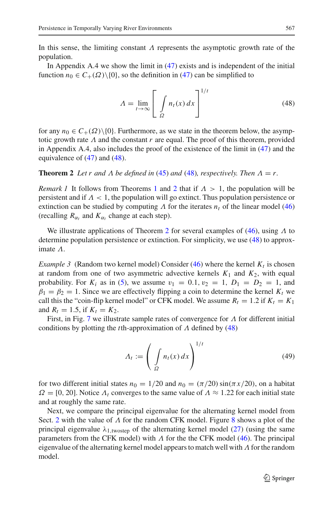In Appendix A.4 we show the limit in [\(47\)](#page-17-2) exists and is independent of the initial function  $n_0 \in C_+(\Omega) \setminus \{0\}$ , so the definition in [\(47\)](#page-17-2) can be simplified to

$$
\Lambda = \lim_{t \to \infty} \left[ \int_{\Omega} n_t(x) dx \right]^{1/t}
$$
\n(48)

<span id="page-18-0"></span>for any  $n_0 \in C_+(\Omega) \setminus \{0\}$ . Furthermore, as we state in the theorem below, the asymptotic growth rate  $\Lambda$  and the constant  $r$  are equal. The proof of this theorem, provided in Appendix A.4, also includes the proof of the existence of the limit in [\(47\)](#page-17-2) and the equivalence of [\(47\)](#page-17-2) and [\(48\)](#page-18-0).

<span id="page-18-1"></span>**Theorem 2** *Let r and*  $\Lambda$  *be defined in* [\(45\)](#page-17-0) *and* [\(48\)](#page-18-0)*, respectively. Then*  $\Lambda = r$ *.* 

*Remark [1](#page-17-3)* It follows from Theorems 1 and [2](#page-18-1) that if  $\Lambda > 1$ , the population will be persistent and if  $\Lambda < 1$ , the population will go extinct. Thus population persistence or extinction can be studied by computing  $\Lambda$  for the iterates  $n_t$  of the linear model [\(46\)](#page-17-1) (recalling  $R_{\alpha_t}$  and  $K_{\alpha_t}$  change at each step).

We illustrate applications of Theorem [2](#page-18-1) for several examples of [\(46\)](#page-17-1), using  $\Lambda$  to determine population persistence or extinction. For simplicity, we use [\(48\)](#page-18-0) to approximate Λ.

*Example 3* (Random two kernel model) Consider [\(46\)](#page-17-1) where the kernel  $K_t$  is chosen at random from one of two asymmetric advective kernels  $K_1$  and  $K_2$ , with equal probability. For  $K_i$  as in [\(5\)](#page-4-0), we assume  $v_1 = 0.1, v_2 = 1, D_1 = D_2 = 1$ , and  $\beta_1 = \beta_2 = 1$ . Since we are effectively flipping a coin to determine the kernel  $K_t$  we call this the "coin-flip kernel model" or CFK model. We assume  $R_t = 1.2$  if  $K_t = K_1$ and  $R_t = 1.5$ , if  $K_t = K_2$ .

First, in Fig. [7](#page-19-0) we illustrate sample rates of convergence for  $\Lambda$  for different initial conditions by plotting the *t*th-approximation of Λ defined by [\(48\)](#page-18-0)

$$
A_t := \left(\int\limits_{\Omega} n_t(x) \, dx\right)^{1/t} \tag{49}
$$

<span id="page-18-2"></span>for two different initial states  $n_0 = 1/20$  and  $n_0 = (\pi/20) \sin(\pi x/20)$ , on a habitat  $\Omega = [0, 20]$ . Notice  $\Lambda_t$  converges to the same value of  $\Lambda \approx 1.22$  for each initial state and at roughly the same rate.

Next, we compare the principal eigenvalue for the alternating kernel model from Sect. [2](#page-11-0) with the value of  $\Lambda$  for the random CFK model. Figure [8](#page-19-1) shows a plot of the principal eigenvalue  $\lambda_{1,\text{twosten}}$  of the alternating kernel model [\(27\)](#page-11-2) (using the same parameters from the CFK model) with  $\Lambda$  for the the CFK model [\(46\)](#page-17-1). The principal eigenvalue of the alternating kernel model appears to match well with  $\Lambda$  for the random model.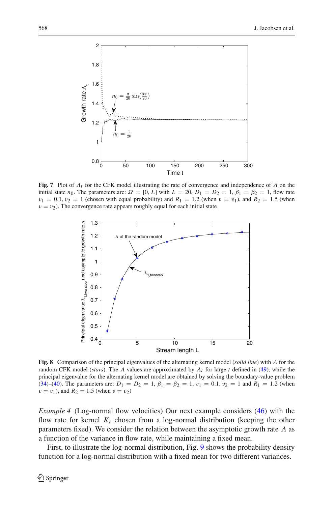

<span id="page-19-0"></span>**Fig. 7** Plot of  $\Lambda_t$  for the CFK model illustrating the rate of convergence and independence of  $\Lambda$  on the initial state  $n_0$ . The parameters are:  $\Omega = [0, L]$  with  $L = 20$ ,  $D_1 = D_2 = 1$ ,  $\beta_1 = \beta_2 = 1$ , flow rate  $v_1 = 0.1$ ,  $v_2 = 1$  (chosen with equal probability) and  $R_1 = 1.2$  (when  $v = v_1$ ), and  $R_2 = 1.5$  (when  $v = v_2$ ). The convergence rate appears roughly equal for each initial state



<span id="page-19-1"></span>**Fig. 8** Comparison of the principal eigenvalues of the alternating kernel model (*solid line*) with Λ for the random CFK model (*stars*). The Λ values are approximated by Λ*t* for large *t* defined in [\(49\)](#page-18-2), while the principal eigenvalue for the alternating kernel model are obtained by solving the boundary-value problem [\(34\)](#page-12-5)–[\(40\)](#page-13-2). The parameters are:  $D_1 = D_2 = 1$ ,  $\beta_1 = \beta_2 = 1$ ,  $v_1 = 0.1$ ,  $v_2 = 1$  and  $R_1 = 1.2$  (when  $v = v_1$ ), and  $R_2 = 1.5$  (when  $v = v_2$ )

<span id="page-19-2"></span>*Example 4* (Log-normal flow velocities) Our next example considers [\(46\)](#page-17-1) with the flow rate for kernel  $K_t$  chosen from a log-normal distribution (keeping the other parameters fixed). We consider the relation between the asymptotic growth rate  $\Lambda$  as a function of the variance in flow rate, while maintaining a fixed mean.

First, to illustrate the log-normal distribution, Fig. [9](#page-20-0) shows the probability density function for a log-normal distribution with a fixed mean for two different variances.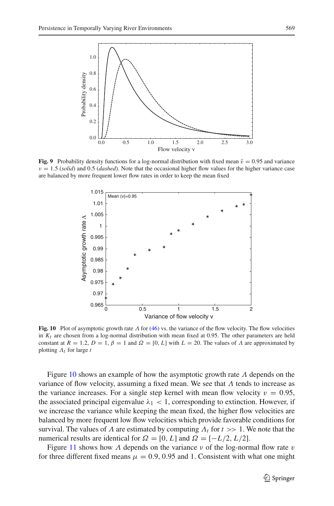

<span id="page-20-0"></span>**Fig. 9** Probability density functions for a log-normal distribution with fixed mean  $\bar{v} = 0.95$  and variance  $v = 1.5$  *(solid)* and 0.5 *(dashed)*. Note that the occasional higher flow values for the higher variance case are balanced by more frequent lower flow rates in order to keep the mean fixed



<span id="page-20-1"></span>**Fig. 10** Plot of asymptotic growth rate Λ for [\(46\)](#page-17-1) vs. the variance of the flow velocity. The flow velocities in  $K_t$  are chosen from a log-normal distribution with mean fixed at 0.95. The other parameters are held constant at  $R = 1.2$ ,  $D = 1$ ,  $\beta = 1$  and  $\Omega = [0, L]$  with  $L = 20$ . The values of  $\Lambda$  are approximated by plotting Λ*t* for large *t*

Figure [10](#page-20-1) shows an example of how the asymptotic growth rate  $\Lambda$  depends on the variance of flow velocity, assuming a fixed mean. We see that  $\Lambda$  tends to increase as the variance increases. For a single step kernel with mean flow velocity  $v = 0.95$ , the associated principal eigenvalue  $\lambda_1$  < 1, corresponding to extinction. However, if we increase the variance while keeping the mean fixed, the higher flow velocities are balanced by more frequent low flow velocities which provide favorable conditions for survival. The values of  $\Lambda$  are estimated by computing  $\Lambda_t$  for  $t \gg 1$ . We note that the numerical results are identical for  $\Omega = [0, L]$  and  $\Omega = [-L/2, L/2]$ .

Figure [11](#page-21-0) shows how  $\Lambda$  depends on the variance  $\nu$  of the log-normal flow rate  $\nu$ for three different fixed means  $\mu = 0.9, 0.95$  and 1. Consistent with what one might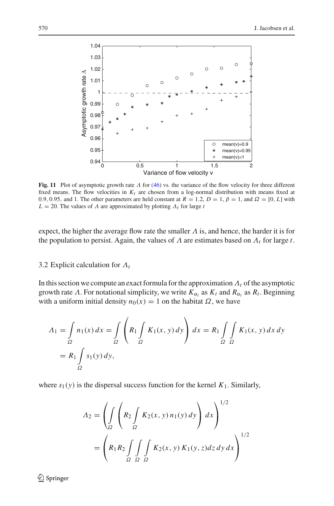

<span id="page-21-0"></span>**Fig. 11** Plot of asymptotic growth rate  $\Lambda$  for [\(46\)](#page-17-1) vs. the variance of the flow velocity for three different fixed means. The flow velocities in  $K_t$  are chosen from a log-normal distribution with means fixed at 0.9, 0.95, and 1. The other parameters are held constant at  $R = 1.2$ ,  $D = 1$ ,  $\beta = 1$ , and  $\Omega = [0, L]$  with  $L = 20$ . The values of  $\Lambda$  are approximated by plotting  $\Lambda_t$  for large *t* 

expect, the higher the average flow rate the smaller  $\Lambda$  is, and hence, the harder it is for the population to persist. Again, the values of  $\Lambda$  are estimates based on  $\Lambda_t$  for large  $t$ .

# 3.2 Explicit calculation for Λ*t*

In this section we compute an exact formula for the approximation  $\Lambda_t$  of the asymptotic growth rate A. For notational simplicity, we write  $K_{\alpha_t}$  as  $K_t$  and  $R_{\alpha_t}$  as  $R_t$ . Beginning with a uniform initial density  $n_0(x) = 1$  on the habitat  $\Omega$ , we have

$$
A_1 = \int_{\Omega} n_1(x) dx = \int_{\Omega} \left( R_1 \int_{\Omega} K_1(x, y) dy \right) dx = R_1 \int_{\Omega} \int_{\Omega} K_1(x, y) dx dy
$$
  
=  $R_1 \int_{\Omega} s_1(y) dy$ ,

where  $s_1(y)$  is the dispersal success function for the kernel  $K_1$ . Similarly,

$$
\begin{aligned} \Lambda_2 &= \left( \int_{\Omega} \left( R_2 \int_{\Omega} K_2(x, y) \, n_1(y) \, dy \right) \, dx \right)^{1/2} \\ &= \left( R_1 R_2 \int_{\Omega} \int_{\Omega} \int_{\Omega} K_2(x, y) \, K_1(y, z) \, dz \, dy \, dx \right)^{1/2} \end{aligned}
$$

<sup>2</sup> Springer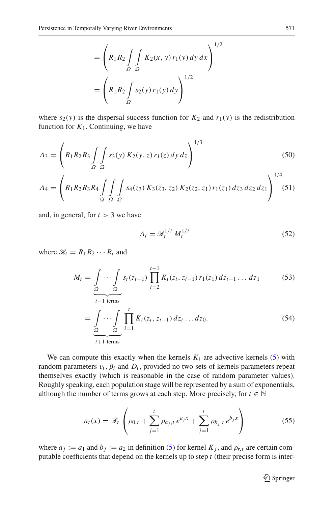$$
= \left(R_1 R_2 \int\limits_{\Omega} \int\limits_{\Omega} K_2(x, y) r_1(y) dy dx\right)^{1/2}
$$

$$
= \left(R_1 R_2 \int\limits_{\Omega} s_2(y) r_1(y) dy\right)^{1/2}
$$

where  $s_2(y)$  is the dispersal success function for  $K_2$  and  $r_1(y)$  is the redistribution function for  $K_1$ . Continuing, we have

$$
A_3 = \left(R_1 R_2 R_3 \int\limits_{\Omega} \int\limits_{\Omega} s_3(y) K_2(y, z) r_1(z) dy dz\right)^{1/3}
$$
(50)

$$
\Lambda_4 = \left(R_1 R_2 R_3 R_4 \int\limits_{\Omega} \int\limits_{\Omega} \int\limits_{\Omega} s_4(z_3) K_3(z_3, z_2) K_2(z_2, z_1) r_1(z_1) dz_3 dz_2 dz_1\right)^{1/4} (51)
$$

and, in general, for  $t > 3$  we have

$$
\Lambda_t = \mathcal{R}_t^{1/t} M_t^{1/t} \tag{52}
$$

where  $\mathcal{R}_t = R_1 R_2 \cdots R_t$  and

<span id="page-22-1"></span>
$$
M_t = \underbrace{\int \cdots \int}_{\Omega} s_t(z_{t-1}) \prod_{i=2}^{t-1} K_i(z_i, z_{i-1}) r_1(z_1) dz_{t-1} \dots dz_1 \tag{53}
$$

$$
t-1 \text{ terms}
$$
\n
$$
= \int_{\Omega} \cdots \int_{\Omega} \prod_{i=1}^{t} K_i(z_i, z_{i-1}) dz_t \dots dz_0.
$$
\n(54)

We can compute this exactly when the kernels  $K_i$  are advective kernels [\(5\)](#page-4-0) with random parameters  $v_i$ ,  $\beta_i$  and  $D_i$ , provided no two sets of kernels parameters repeat themselves exactly (which is reasonable in the case of random parameter values). Roughly speaking, each population stage will be represented by a sum of exponentials, although the number of terms grows at each step. More precisely, for  $t \in \mathbb{N}$ 

$$
n_t(x) = \mathcal{R}_t \left( \rho_{0,t} + \sum_{j=1}^t \rho_{a_j,t} e^{a_j x} + \sum_{j=1}^t \rho_{b_j,t} e^{b_j x} \right)
$$
(55)

<span id="page-22-0"></span>where  $a_j := a_1$  and  $b_j := a_2$  in definition [\(5\)](#page-4-0) for kernel  $K_j$ , and  $\rho_{r,t}$  are certain computable coefficients that depend on the kernels up to step *t* (their precise form is inter-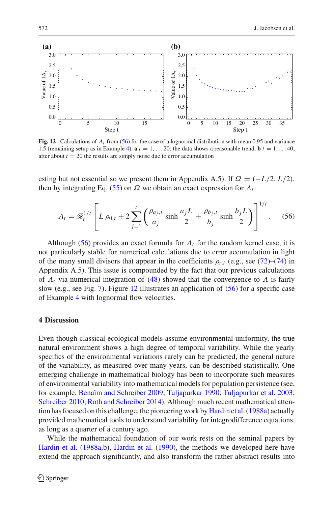

<span id="page-23-2"></span>**Fig. 12** Calculations of Λ*t* from [\(56\)](#page-23-1) for the case of a lognormal distribution with mean 0.95 and variance 1.5 (remaining setup as in Example [4\)](#page-19-2).  $\mathbf{a} t = 1, \ldots 20$ ; the data shows a reasonable trend,  $\mathbf{b} t = 1, \ldots 40$ ; after about  $t = 20$  the results are simply noise due to error accumulation

esting but not essential so we present them in Appendix A.5). If  $\Omega = (-L/2, L/2)$ , then by integrating Eq. [\(55\)](#page-22-0) on  $\Omega$  we obtain an exact expression for  $\Lambda_t$ :

$$
A_t = \mathcal{R}_t^{1/t} \left[ L \rho_{0,t} + 2 \sum_{j=1}^t \left( \frac{\rho_{a_j,t}}{a_j} \sinh \frac{a_j L}{2} + \frac{\rho_{b_j,t}}{b_j} \sinh \frac{b_j L}{2} \right) \right]^{1/t} . \tag{56}
$$

<span id="page-23-1"></span>Although [\(56\)](#page-23-1) provides an exact formula for  $\Lambda_t$  for the random kernel case, it is not particularly stable for numerical calculations due to error accumulation in light of the many small divisors that appear in the coefficients  $\rho_{r,t}$  (e.g., see [\(72\)](#page-38-0)–[\(74\)](#page-38-0) in Appendix A.5). This issue is compounded by the fact that our previous calculations of  $\Lambda_t$  via numerical integration of [\(48\)](#page-18-0) showed that the convergence to  $\Lambda$  is fairly slow (e.g., see Fig. [7\)](#page-19-0). Figure [12](#page-23-2) illustrates an application of [\(56\)](#page-23-1) for a specific case of Example [4](#page-19-2) with lognormal flow velocities.

# <span id="page-23-0"></span>**4 Discussion**

Even though classical ecological models assume environmental uniformity, the true natural environment shows a high degree of temporal variability. While the yearly specifics of the environmental variations rarely can be predicted, the general nature of the variability, as measured over many years, can be described statistically. One emerging challenge in mathematical biology has been to incorporate such measures of environmental variability into mathematical models for population persistence (see, for example, [Benaïm and Schreiber 2009;](#page-40-9) [Tuljapurkar 1990;](#page-41-16) [Tuljapurkar et al. 2003](#page-41-17); [Schreiber 2010;](#page-41-19) [Roth and Schreiber 2014\)](#page-41-15). Although much recent mathematical attention has focused on this challenge, the pioneering work by Hardin et al. (1988a) actually provided mathematical tools to understand variability for integrodifference equations, as long as a quarter of a century ago.

While the mathematical foundation of our work rests on the seminal papers by [Hardin et al.](#page-40-7) [\(1988a](#page-40-7)[,b\)](#page-40-8), [Hardin et al.](#page-40-6) [\(1990\)](#page-40-6), the methods we developed here have extend the approach significantly, and also transform the rather abstract results into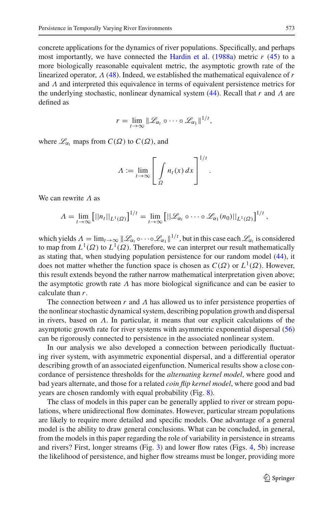concrete applications for the dynamics of river populations. Specifically, and perhaps most importantly, we have connected the [Hardin et al.](#page-40-7)  $(1988a)$  $(1988a)$  metric  $r(45)$  $r(45)$  to a more biologically reasonable equivalent metric, the asymptotic growth rate of the linearized operator, Λ [\(48\)](#page-18-0). Indeed, we established the mathematical equivalence of *r* and  $\Lambda$  and interpreted this equivalence in terms of equivalent persistence metrics for the underlying stochastic, nonlinear dynamical system [\(44\)](#page-16-2). Recall that *r* and Λ are defined as

$$
r=\lim_{t\to\infty}\|\mathscr{L}_{\alpha_t}\circ\cdots\circ\mathscr{L}_{\alpha_1}\|^{1/t},
$$

where  $\mathcal{L}_{\alpha_t}$  maps from  $C(\Omega)$  to  $C(\Omega)$ , and

$$
\Lambda := \lim_{t \to \infty} \left[ \int_{\Omega} n_t(x) \, dx \right]^{1/t}.
$$

We can rewrite  $\Lambda$  as

$$
\Lambda = \lim_{t\to\infty} \left[ ||n_t||_{L^1(\Omega)} \right]^{1/t} = \lim_{t\to\infty} \left[ ||\mathcal{L}_{\alpha_t} \circ \cdots \circ \mathcal{L}_{\alpha_1}(n_0)||_{L^1(\Omega)} \right]^{1/t},
$$

which yields  $\Lambda = \lim_{t \to \infty} ||\mathcal{L}_{\alpha_t} \circ \cdots \circ \mathcal{L}_{\alpha_1}||^{1/t}$ , but in this case each  $\mathcal{L}_{\alpha_t}$  is considered to map from  $L^1(\Omega)$  to  $L^1(\Omega)$ . Therefore, we can interpret our result mathematically as stating that, when studying population persistence for our random model [\(44\)](#page-16-2), it does not matter whether the function space is chosen as  $C(\Omega)$  or  $L^1(\Omega)$ . However, this result extends beyond the rather narrow mathematical interpretation given above; the asymptotic growth rate  $\Lambda$  has more biological significance and can be easier to calculate than *r*.

The connection between  $r$  and  $\Lambda$  has allowed us to infer persistence properties of the nonlinear stochastic dynamical system, describing population growth and dispersal in rivers, based on  $\Lambda$ . In particular, it means that our explicit calculations of the asymptotic growth rate for river systems with asymmetric exponential dispersal [\(56\)](#page-23-1) can be rigorously connected to persistence in the associated nonlinear system.

In our analysis we also developed a connection between periodically fluctuating river system, with asymmetric exponential dispersal, and a differential operator describing growth of an associated eigenfunction. Numerical results show a close concordance of persistence thresholds for the *alternating kernel model*, where good and bad years alternate, and those for a related *coin flip kernel model*, where good and bad years are chosen randomly with equal probability (Fig. [8\)](#page-19-1).

The class of models in this paper can be generally applied to river or stream populations, where unidirectional flow dominates. However, particular stream populations are likely to require more detailed and specific models. One advantage of a general model is the ability to draw general conclusions. What can be concluded, in general, from the models in this paper regarding the role of variability in persistence in streams and rivers? First, longer streams (Fig. [3\)](#page-7-1) and lower flow rates (Figs. [4,](#page-14-0) [5b](#page-15-0)) increase the likelihood of persistence, and higher flow streams must be longer, providing more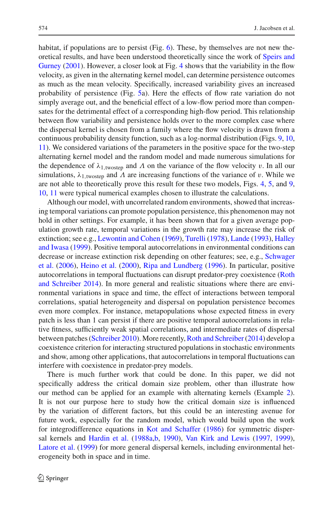habitat, if populations are to persist (Fig. [6\)](#page-15-1). These, by themselves are not new theoretica[l results, and have been understood theoretically since the work of](#page-41-1) Speirs and Gurney [\(2001](#page-41-1)). However, a closer look at Fig. [4](#page-14-0) shows that the variability in the flow velocity, as given in the alternating kernel model, can determine persistence outcomes as much as the mean velocity. Specifically, increased variability gives an increased probability of persistence (Fig. [5a](#page-15-0)). Here the effects of flow rate variation do not simply average out, and the beneficial effect of a low-flow period more than compensates for the detrimental effect of a corresponding high-flow period. This relationship between flow variability and persistence holds over to the more complex case where the dispersal kernel is chosen from a family where the flow velocity is drawn from a continuous probability density function, such as a log-normal distribution (Figs. [9,](#page-20-0) [10,](#page-20-1) [11\)](#page-21-0). We considered variations of the parameters in the positive space for the two-step alternating kernel model and the random model and made numerous simulations for the dependence of  $\lambda_{1,\text{twostep}}$  and  $\Lambda$  on the variance of the flow velocity v. In all our simulations,  $\lambda_{1,\text{twostep}}$  and  $\Lambda$  are increasing functions of the variance of v. While we are not able to theoretically prove this result for these two models, Figs. [4,](#page-14-0) [5,](#page-15-0) and [9,](#page-20-0) [10,](#page-20-1) [11](#page-21-0) were typical numerical examples chosen to illustrate the calculations.

Although our model, with uncorrelated random environments, showed that increasing temporal variations can promote population persistence, this phenomenon may not hold in other settings. For example, it has been shown that for a given average population growth rate, temporal variations in the growth rate may increase the risk of extinction; see e.g., [Lewontin and Cohen](#page-41-20) [\(1969](#page-41-20)), [Turelli](#page-41-21) [\(1978\)](#page-41-21), [Lande](#page-41-22) [\(1993\)](#page-41-22), Halley and Iwasa [\(1999\)](#page-40-14). Positive temporal autocorrelations in environmental conditions can decr[ease or increase extinction risk depending on other features; see, e.g.,](#page-41-23) Schwager et al. [\(2006](#page-41-23)), [Heino et al.](#page-40-15) [\(2000\)](#page-40-15), [Ripa and Lundberg](#page-41-24) [\(1996](#page-41-24)). In particular, positive autocorrelatio[ns in temporal fluctuations can disrupt predator-prey coexistence \(](#page-41-15)Roth and Schreiber [2014\)](#page-41-15). In more general and realistic situations where there are environmental variations in space and time, the effect of interactions between temporal correlations, spatial heterogeneity and dispersal on population persistence becomes even more complex. For instance, metapopulations whose expected fitness in every patch is less than 1 can persist if there are positive temporal autocorrelations in relative fitness, sufficiently weak spatial correlations, and intermediate rates of dispersal between patches [\(Schreiber 2010\)](#page-41-19). More recently,[Roth and Schreiber\(2014\)](#page-41-15) develop a coexistence criterion for interacting structured populations in stochastic environments and show, among other applications, that autocorrelations in temporal fluctuations can interfere with coexistence in predator-prey models.

There is much further work that could be done. In this paper, we did not specifically address the critical domain size problem, other than illustrate how our method can be applied for an example with alternating kernels (Example [2\)](#page-14-1). It is not our purpose here to study how the critical domain size is influenced by the variation of different factors, but this could be an interesting avenue for future work, especially for the random model, which would build upon the work for integrodifference equations in [Kot and Schaffer](#page-40-5) [\(1986](#page-40-5)) for symmetric dispersal kernels and [Hardin et al.](#page-40-7) [\(1988a](#page-40-7)[,b](#page-40-8), [1990\)](#page-40-6), [Van Kirk and Lewis](#page-41-12) [\(1997,](#page-41-12) [1999](#page-41-25)), [Latore et al.](#page-41-26) [\(1999\)](#page-41-26) for more general dispersal kernels, including environmental heterogeneity both in space and in time.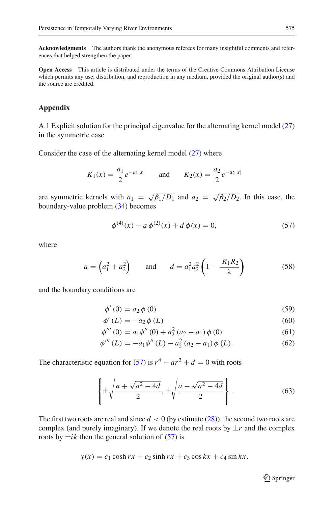**Acknowledgments** The authors thank the anonymous referees for many insightful comments and references that helped strengthen the paper.

**Open Access** This article is distributed under the terms of the Creative Commons Attribution License which permits any use, distribution, and reproduction in any medium, provided the original author(s) and the source are credited.

# **Appendix**

A.1 Explicit solution for the principal eigenvalue for the alternating kernel model [\(27\)](#page-11-2) in the symmetric case

Consider the case of the alternating kernel model [\(27\)](#page-11-2) where

$$
K_1(x) = \frac{a_1}{2}e^{-a_1|x|}
$$
 and  $K_2(x) = \frac{a_2}{2}e^{-a_2|x|}$ 

are symmetric kernels with  $a_1 = \sqrt{\beta_1/D_1}$  and  $a_2 = \sqrt{\beta_2/D_2}$ . In this case, the boundary-value problem [\(34\)](#page-12-5) becomes

$$
\phi^{(4)}(x) - a\,\phi^{(2)}(x) + d\,\phi(x) = 0,\tag{57}
$$

<span id="page-26-0"></span>where

$$
a = \left(a_1^2 + a_2^2\right) \qquad \text{and} \qquad d = a_1^2 a_2^2 \left(1 - \frac{R_1 R_2}{\lambda}\right) \tag{58}
$$

<span id="page-26-1"></span>and the boundary conditions are

$$
\phi'(0) = a_2 \phi(0) \tag{59}
$$

$$
\phi'(L) = -a_2 \phi(L) \tag{60}
$$

$$
\phi'''(0) = a_1 \phi''(0) + a_2^2 (a_2 - a_1) \phi(0)
$$
\n(61)

$$
\phi'''(L) = -a_1 \phi''(L) - a_2^2 (a_2 - a_1) \phi(L). \tag{62}
$$

The characteristic equation for [\(57\)](#page-26-0) is  $r^4 - ar^2 + d = 0$  with roots

$$
\left\{\pm\sqrt{\frac{a+\sqrt{a^2-4d}}{2}}, \pm\sqrt{\frac{a-\sqrt{a^2-4d}}{2}}\right\}.
$$
 (63)

The first two roots are real and since  $d < 0$  (by estimate  $(28)$ ), the second two roots are complex (and purely imaginary). If we denote the real roots by  $\pm r$  and the complex roots by  $\pm ik$  then the general solution of [\(57\)](#page-26-0) is

$$
y(x) = c_1 \cosh rx + c_2 \sinh rx + c_3 \cos kx + c_4 \sin kx.
$$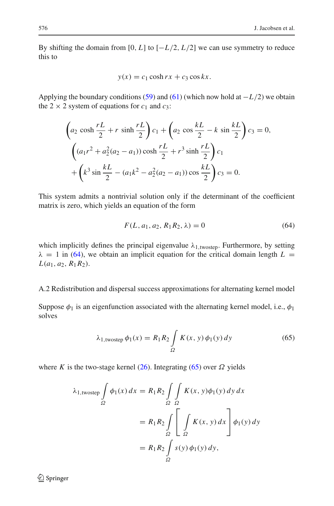By shifting the domain from [0, *L*] to  $[-L/2, L/2]$  we can use symmetry to reduce this to

$$
y(x) = c_1 \cosh rx + c_3 \cos kx.
$$

Applying the boundary conditions [\(59\)](#page-26-1) and [\(61\)](#page-26-1) (which now hold at −*L*/2) we obtain the 2  $\times$  2 system of equations for  $c_1$  and  $c_3$ :

$$
\left(a_2 \cosh \frac{rL}{2} + r \sinh \frac{rL}{2}\right)c_1 + \left(a_2 \cos \frac{kL}{2} - k \sin \frac{kL}{2}\right)c_3 = 0,
$$
  

$$
\left((a_1r^2 + a_2^2(a_2 - a_1))\cosh \frac{rL}{2} + r^3 \sinh \frac{rL}{2}\right)c_1 + \left(k^3 \sin \frac{kL}{2} - (a_1k^2 - a_2^2(a_2 - a_1))\cos \frac{kL}{2}\right)c_3 = 0.
$$

This system admits a nontrivial solution only if the determinant of the coefficient matrix is zero, which yields an equation of the form

$$
F(L, a_1, a_2, R_1 R_2, \lambda) = 0
$$
\n(64)

<span id="page-27-0"></span>which implicitly defines the principal eigenvalue  $\lambda_{1, \text{twostep}}$ . Furthermore, by setting  $\lambda = 1$  in [\(64\)](#page-27-0), we obtain an implicit equation for the critical domain length  $L =$  $L(a_1, a_2, R_1R_2)$ .

## A.2 Redistribution and dispersal success approximations for alternating kernel model

Suppose  $\phi_1$  is an eigenfunction associated with the alternating kernel model, i.e.,  $\phi_1$ solves

$$
\lambda_{1,\text{twostep}} \phi_1(x) = R_1 R_2 \int_{\Omega} K(x, y) \phi_1(y) \, dy \tag{65}
$$

<span id="page-27-1"></span>where *K* is the two-stage kernel [\(26\)](#page-11-1). Integrating [\(65\)](#page-27-1) over  $\Omega$  yields

$$
\lambda_{1,\text{twostep}} \int_{\Omega} \phi_1(x) dx = R_1 R_2 \int_{\Omega} \int_{\Omega} K(x, y) \phi_1(y) dy dx
$$

$$
= R_1 R_2 \int_{\Omega} \left[ \int_{\Omega} K(x, y) dx \right] \phi_1(y) dy
$$

$$
= R_1 R_2 \int_{\Omega} s(y) \phi_1(y) dy,
$$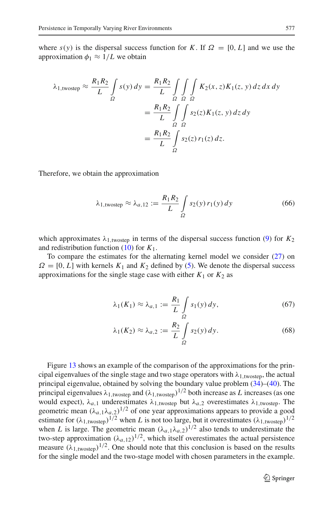where  $s(y)$  is the dispersal success function for *K*. If  $\Omega = [0, L]$  and we use the approximation  $\phi_1 \approx 1/L$  we obtain

$$
\lambda_{1,\text{twostep}} \approx \frac{R_1 R_2}{L} \int_{\Omega} s(y) \, dy = \frac{R_1 R_2}{L} \int_{\Omega} \int_{\Omega} \int_{\Omega} K_2(x, z) K_1(z, y) \, dz \, dx \, dy
$$
\n
$$
= \frac{R_1 R_2}{L} \int_{\Omega} \int_{\Omega} s_2(z) K_1(z, y) \, dz \, dy
$$
\n
$$
= \frac{R_1 R_2}{L} \int_{\Omega} s_2(z) \, r_1(z) \, dz.
$$

Therefore, we obtain the approximation

$$
\lambda_{1,\text{twostep}} \approx \lambda_{a,12} := \frac{R_1 R_2}{L} \int_{\Omega} s_2(y) \, r_1(y) \, dy \tag{66}
$$

which approximates  $\lambda_{1.1}$ <sub>twostep</sub> in terms of the dispersal success function [\(9\)](#page-4-3) for  $K_2$ and redistribution function [\(10\)](#page-5-2) for *K*1.

To compare the estimates for the alternating kernel model we consider [\(27\)](#page-11-2) on  $\Omega = [0, L]$  with kernels  $K_1$  and  $K_2$  defined by [\(5\)](#page-4-0). We denote the dispersal success approximations for the single stage case with either  $K_1$  or  $K_2$  as

$$
\lambda_1(K_1) \approx \lambda_{a,1} := \frac{R_1}{L} \int\limits_{\Omega} s_1(y) \, dy,\tag{67}
$$

$$
\lambda_1(K_2) \approx \lambda_{a,2} := \frac{R_2}{L} \int\limits_{\Omega} s_2(y) \, dy. \tag{68}
$$

Figure [13](#page-29-0) shows an example of the comparison of the approximations for the principal eigenvalues of the single stage and two stage operators with  $\lambda_{1,\text{twostep}}$ , the actual principal eigenvalue, obtained by solving the boundary value problem [\(34\)](#page-12-5)–[\(40\)](#page-13-2). The principal eigenvalues  $\lambda_{1,\text{twostep}}$  and  $(\lambda_{1,\text{twostep}})^{1/2}$  both increase as *L* increases (as one would expect),  $\lambda_{a,1}$  underestimates  $\lambda_{1,\text{twostep}}$  but  $\lambda_{a,2}$  overestimates  $\lambda_{1,\text{twostep}}$ . The geometric mean  $(\lambda_{a,1}\lambda_{a,2})^{1/2}$  of one year approximations appears to provide a good estimate for  $(\lambda_{1,\text{twostep}})^{1/2}$  when *L* is not too large, but it overestimates  $(\lambda_{1,\text{twostep}})^{1/2}$ when *L* is large. The geometric mean  $(\lambda_{a,1}\lambda_{a,2})^{1/2}$  also tends to underestimate the two-step approximation  $(\lambda_{a,12})^{1/2}$ , which itself overestimates the actual persistence measure  $(\lambda_1, \mu_{\text{vostep}})^{1/2}$ . One should note that this conclusion is based on the results for the single model and the two-stage model with chosen parameters in the example.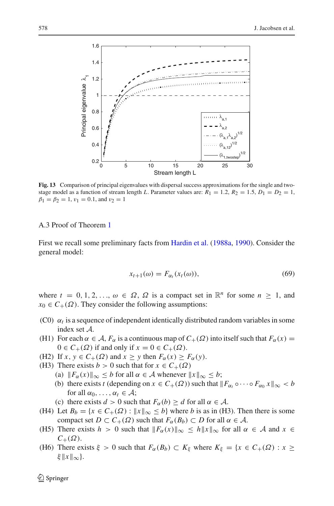

<span id="page-29-0"></span>**Fig. 13** Comparison of principal eigenvalues with dispersal success approximations for the single and twostage model as a function of stream length *L*. Parameter values are:  $R_1 = 1.2$ ,  $R_2 = 1.5$ ,  $D_1 = D_2 = 1$ ,  $\beta_1 = \beta_2 = 1$ ,  $v_1 = 0.1$ , and  $v_2 = 1$ 

## A.3 Proof of Theorem [1](#page-17-3)

First we recall some preliminary facts from [Hardin et al.](#page-40-7) [\(1988a](#page-40-7), [1990](#page-40-6)). Consider the general model:

$$
x_{t+1}(\omega) = F_{\alpha_t}(x_t(\omega)), \tag{69}
$$

<span id="page-29-1"></span>where  $t = 0, 1, 2, \ldots, \omega \in \Omega$ ,  $\Omega$  is a compact set in  $\mathbb{R}^n$  for some  $n \geq 1$ , and  $x_0 \in C_+(\Omega)$ . They consider the following assumptions:

- (C0)  $\alpha_t$  is a sequence of independent identically distributed random variables in some index set *A*.
- (H1) For each  $\alpha \in A$ ,  $F_\alpha$  is a continuous map of  $C_+(\Omega)$  into itself such that  $F_\alpha(x) =$  $0 \in C_+(\Omega)$  if and only if  $x = 0 \in C_+(\Omega)$ .
- (H2) If  $x, y \in C_+(\Omega)$  and  $x \geq y$  then  $F_\alpha(x) \geq F_\alpha(y)$ .
- (H3) There exists *b* > 0 such that for  $x \in C_+(\Omega)$ 
	- (a)  $||F_{\alpha}(x)||_{\infty} \leq b$  for all  $\alpha \in \mathcal{A}$  whenever  $||x||_{\infty} \leq b$ ;
	- (b) there exists *t* (depending on  $x \in C_+(\Omega)$ ) such that  $||F_\alpha, \circ \cdots \circ F_{\alpha} x||_\infty < b$ for all  $\alpha_0, \ldots, \alpha_t \in \mathcal{A}$ ;
	- (c) there exists  $d > 0$  such that  $F_\alpha(b) \ge d$  for all  $\alpha \in A$ .
- (H4) Let  $B_b = \{x \in C_+(\Omega) : ||x||_{\infty} \le b\}$  where *b* is as in (H3). Then there is some compact set  $D \subset C_+(\Omega)$  such that  $F_\alpha(B_b) \subset D$  for all  $\alpha \in \mathcal{A}$ .
- (H5) There exists  $h > 0$  such that  $||F_{\alpha}(x)||_{\infty} \leq h||x||_{\infty}$  for all  $\alpha \in \mathcal{A}$  and  $x \in$  $C_+(\Omega)$ .
- (H6) There exists  $\xi > 0$  such that  $F_\alpha(B_b) \subset K_\xi$  where  $K_\xi = \{x \in C_+(\Omega) : x \geq 0\}$  $\xi$   $\|x\|_{\infty}$ .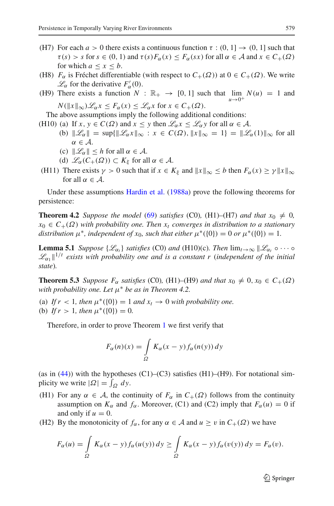- (H7) For each  $a > 0$  there exists a continuous function  $\tau : (0, 1] \rightarrow (0, 1]$  such that  $\tau(s) > s$  for  $s \in (0, 1)$  and  $\tau(s) F_\alpha(x) \leq F_\alpha(sx)$  for all  $\alpha \in A$  and  $x \in C_+(\Omega)$ for which  $a \leq x \leq b$ .
- (H8)  $F_\alpha$  is Fréchet differentiable (with respect to  $C_+(\Omega)$ ) at  $0 \in C_+(\Omega)$ . We write  $\mathcal{L}_{\alpha}$  for the derivative  $F'_{\alpha}(0)$ .
- (H9) There exists a function  $N : \mathbb{R}_+ \to [0, 1]$  such that  $\lim N(u) = 1$  and  $N(\|x\|_{\infty})\mathscr{L}_{\alpha}x \leq F_{\alpha}(x) \leq \mathscr{L}_{\alpha}x$  for  $x \in C_{+}(\Omega)$ .
- The above assumptions imply the following additional conditions:
- (H10) (a) If  $x, y \in C(\Omega)$  and  $x \leq y$  then  $\mathcal{L}_{\alpha} x \leq \mathcal{L}_{\alpha} y$  for all  $\alpha \in \mathcal{A}$ .
	- (b)  $\|\mathscr{L}_{\alpha}\| = \sup\{\|\mathscr{L}_{\alpha}x\|_{\infty} : x \in C(\Omega), \|x\|_{\infty} = 1\} = \|\mathscr{L}_{\alpha}(1)\|_{\infty}$  for all  $\alpha \in \mathcal{A}$ .
	- (c)  $\|\mathcal{L}_{\alpha}\| \leq h$  for all  $\alpha \in \mathcal{A}$ .
	- (d)  $\mathcal{L}_{\alpha}(C_+(\Omega)) \subset K_{\xi}$  for all  $\alpha \in \mathcal{A}$ .
- (H11) There exists  $\gamma > 0$  such that if  $x \in K_{\xi}$  and  $||x||_{\infty} \le b$  then  $F_{\alpha}(x) \ge \gamma ||x||_{\infty}$ for all  $\alpha \in \mathcal{A}$ .

Under these assumptions [Hardin et al.](#page-40-7) [\(1988a\)](#page-40-7) prove the following theorems for persistence:

**Theorem 4.2** *Suppose the model* [\(69\)](#page-29-1) *satisfies* (C0)*,* (H1)–(H7) *and that*  $x_0 \neq 0$ *,*  $x_0 \in C_+(\Omega)$  *with probability one. Then*  $x_t$  *converges in distribution to a stationary distribution*  $\mu^*$ *, independent of*  $x_0$ *, such that either*  $\mu^*(\{0\}) = 0$  *or*  $\mu^*(\{0\}) = 1$ *.* 

**Lemma 5.1** *Suppose*  $\{\mathscr{L}_{\alpha_t}\}\$  *satisfies* (C0) *and* (H10)(c)*. Then*  $\lim_{t\to\infty} \|\mathscr{L}_{\alpha_t} \circ \cdots \circ$  $\mathscr{L}_{\alpha_1}$ ||<sup>1/t</sup> exists with probability one and is a constant r (independent of the initial *state*)*.*

**Theorem 5.3** *Suppose*  $F_\alpha$  *satisfies* (C0)*,* (H1)–(H9) *and that*  $x_0 \neq 0, x_0 \in C_+(\Omega)$ *with probability one. Let* μ<sup>∗</sup> *be as in Theorem 4.2.*

(a) If  $r < 1$ , then  $\mu^*(\{0\}) = 1$  and  $x_t \to 0$  with probability one. (b) *If*  $r > 1$ *, then*  $\mu^*(0) = 0$ *.* 

Therefore, in order to prove Theorem [1](#page-17-3) we first verify that

$$
F_{\alpha}(n)(x) = \int_{\Omega} K_{\alpha}(x - y) f_{\alpha}(n(y)) dy
$$

(as in  $(44)$ ) with the hypotheses  $(C1)$ – $(C3)$  satisfies  $(H1)$ – $(H9)$ . For notational simplicity we write  $|\Omega| = \int_{\Omega} dy$ .

- (H1) For any  $\alpha \in A$ , the continuity of  $F_{\alpha}$  in  $C_{+}(\Omega)$  follows from the continuity assumption on  $K_{\alpha}$  and  $f_{\alpha}$ . Moreover, (C1) and (C2) imply that  $F_{\alpha}(u) = 0$  if and only if  $u = 0$ .
- (H2) By the monotonicity of  $f_\alpha$ , for any  $\alpha \in A$  and  $u \ge v$  in  $C_+(\Omega)$  we have

$$
F_{\alpha}(u) = \int_{\Omega} K_{\alpha}(x - y) f_{\alpha}(u(y)) dy \ge \int_{\Omega} K_{\alpha}(x - y) f_{\alpha}(v(y)) dy = F_{\alpha}(v).
$$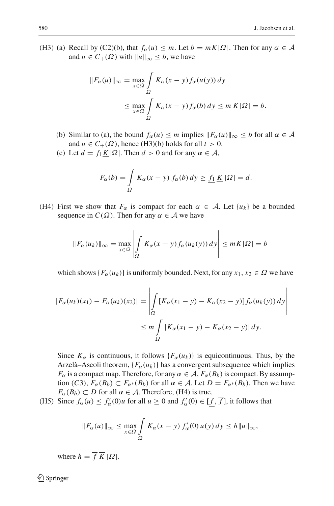(H3) (a) Recall by (C2)(b), that  $f_\alpha(u) \leq m$ . Let  $b = m\overline{K}|\Omega|$ . Then for any  $\alpha \in \mathcal{A}$ and  $u \in C_+(\Omega)$  with  $||u||_{\infty} \leq b$ , we have

$$
||F_{\alpha}(u)||_{\infty} = \max_{x \in \Omega} \int_{\Omega} K_{\alpha}(x - y) f_{\alpha}(u(y)) dy
$$
  

$$
\leq \max_{x \in \Omega} \int_{\Omega} K_{\alpha}(x - y) f_{\alpha}(b) dy \leq m \overline{K} |\Omega| = b.
$$

- (b) Similar to (a), the bound  $f_\alpha(u) \leq m$  implies  $||F_\alpha(u)||_\infty \leq b$  for all  $\alpha \in \mathcal{A}$ and  $u \in C_+(\Omega)$ , hence (H3)(b) holds for all  $t > 0$ .
- (c) Let  $d = f_1 \underline{K} |\Omega|$ . Then  $d > 0$  and for any  $\alpha \in \mathcal{A}$ ,

$$
F_{\alpha}(b) = \int\limits_{\Omega} K_{\alpha}(x - y) f_{\alpha}(b) dy \ge \underline{f_1} \underline{K} |\Omega| = d.
$$

(H4) First we show that  $F_\alpha$  is compact for each  $\alpha \in A$ . Let  $\{u_k\}$  be a bounded sequence in  $C(\Omega)$ . Then for any  $\alpha \in A$  we have

$$
\|F_{\alpha}(u_k)\|_{\infty} = \max_{x \in \Omega} \left| \int_{\Omega} K_{\alpha}(x - y) f_{\alpha}(u_k(y)) dy \right| \leq m \overline{K} |\Omega| = b
$$

which shows  ${F_\alpha(u_k)}$  is uniformly bounded. Next, for any  $x_1, x_2 \in \Omega$  we have

$$
|F_{\alpha}(u_k)(x_1) - F_{\alpha}(u_k)(x_2)| = \left| \int_{\Omega} [K_{\alpha}(x_1 - y) - K_{\alpha}(x_2 - y)] f_{\alpha}(u_k(y)) dy \right|
$$
  

$$
\leq m \int_{\Omega} |K_{\alpha}(x_1 - y) - K_{\alpha}(x_2 - y)| dy.
$$

Since  $K_{\alpha}$  is continuous, it follows  $\{F_{\alpha}(u_k)\}\)$  is equicontinuous. Thus, by the Arzelà–Ascoli theorem,  ${F_\alpha(u_k)}$  has a convergent subsequence which implies *F*<sub>α</sub> is a compact map. Therefore, for any  $\alpha \in A$ ,  $\overline{F_{\alpha}(B_b)}$  is compact. By assumption (*C*3),  $\overline{F_{\alpha}(B_b)} \subset \overline{F_{\alpha^*}(B_b)}$  for all  $\alpha \in A$ . Let  $D = \overline{F_{\alpha^*}(B_b)}$ . Then we have  $F_{\alpha}(B_b) \subset D$  for all  $\alpha \in \mathcal{A}$ . Therefore, (H4) is true.

(H5) Since  $f_{\alpha}(u) \le f'_{\alpha}(0)u$  for all  $u \ge 0$  and  $f'_{\alpha}(0) \in [\underline{f}, \overline{f}]$ , it follows that

$$
||F_{\alpha}(u)||_{\infty} \leq \max_{x \in \Omega} \int_{\Omega} K_{\alpha}(x - y) f_{\alpha}'(0) u(y) dy \leq h ||u||_{\infty},
$$

where  $h = \overline{f} \overline{K} |\Omega|$ .

 $\mathcal{L}$  Springer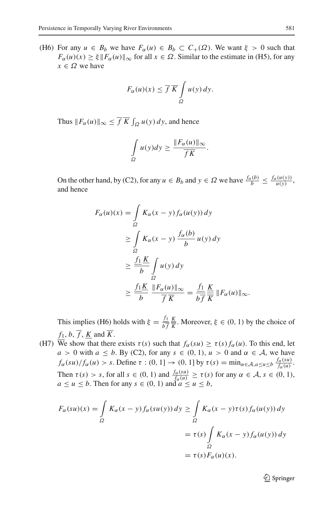(H6) For any  $u \in B_b$  we have  $F_\alpha(u) \in B_b \subset C_+(\Omega)$ . We want  $\xi > 0$  such that  $F_\alpha(u)(x) \ge \xi ||F_\alpha(u)||_\infty$  for all  $x \in \Omega$ . Similar to the estimate in (H5), for any  $x \in \Omega$  we have

$$
F_{\alpha}(u)(x) \leq \overline{f} \ \overline{K} \int\limits_{\Omega} u(y) \, dy.
$$

Thus  $||F_{\alpha}(u)||_{\infty} \leq f K \int_{\Omega} u(y) dy$ , and hence

$$
\int_{\Omega} u(y) dy \ge \frac{\|F_{\alpha}(u)\|_{\infty}}{\overline{f K}}.
$$

On the other hand, by (C2), for any  $u \in B_b$  and  $y \in \Omega$  we have  $\frac{f_\alpha(b)}{b} \leq \frac{f_\alpha(u(y))}{u(y)},$ and hence

$$
F_{\alpha}(u)(x) = \int_{\Omega} K_{\alpha}(x - y) f_{\alpha}(u(y)) dy
$$
  
\n
$$
\geq \int_{\Omega} K_{\alpha}(x - y) \frac{f_{\alpha}(b)}{b} u(y) dy
$$
  
\n
$$
\geq \frac{f_1 K}{b} \int_{\Omega} u(y) dy
$$
  
\n
$$
\geq \frac{f_1 K}{b} \frac{\|F_{\alpha}(u)\|_{\infty}}{\overline{f} \overline{K}} = \frac{f_1 K}{b \overline{f}} \frac{K}{\overline{K}} \|F_{\alpha}(u)\|_{\infty}.
$$

This implies (H6) holds with  $\xi = \frac{f_1}{b\bar{f}}$  $\frac{K}{\overline{K}}$ . Moreover,  $\xi \in (0, 1)$  by the choice of  $f_1$ ,  $b$ ,  $\overline{f}$ ,  $\underline{K}$  and  $\overline{K}$ .

(H7) We show that there exists  $\tau(s)$  such that  $f_\alpha(su) \ge \tau(s) f_\alpha(u)$ . To this end, let *a* > 0 with  $a \leq b$ . By (C2), for any  $s \in (0, 1)$ ,  $u > 0$  and  $\alpha \in A$ , we have  $f_{\alpha}(su)/f_{\alpha}(u) > s$ . Define  $\tau : (0, 1] \rightarrow (0, 1]$  by  $\tau(s) = \min_{\alpha \in A, \alpha \le u \le b} \frac{f_{\alpha}(su)}{f_{\alpha}(u)}$ . Then  $\tau(s) > s$ , for all  $s \in (0, 1)$  and  $\frac{f_\alpha(su)}{f_\alpha(u)} \ge \tau(s)$  for any  $\alpha \in \mathcal{A}, s \in (0, 1)$ ,  $a \le u \le b$ . Then for any  $s \in (0, 1)$  and  $a \le u \le b$ ,

$$
F_{\alpha}(su)(x) = \int_{\Omega} K_{\alpha}(x - y) f_{\alpha}(su(y)) dy \ge \int_{\Omega} K_{\alpha}(x - y) \tau(s) f_{\alpha}(u(y)) dy
$$
  

$$
= \tau(s) \int_{\Omega} K_{\alpha}(x - y) f_{\alpha}(u(y)) dy
$$
  

$$
= \tau(s) F_{\alpha}(u)(x).
$$

 $\mathcal{D}$  Springer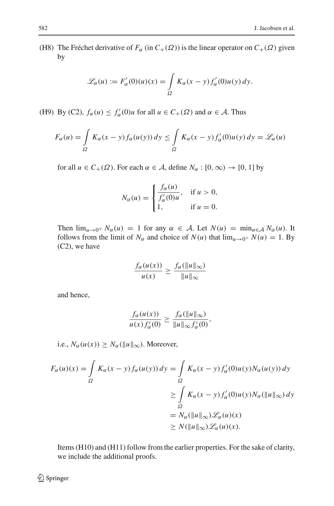(H8) The Fréchet derivative of  $F_\alpha$  (in  $C_+(\Omega)$ ) is the linear operator on  $C_+(\Omega)$  given by

$$
\mathcal{L}_{\alpha}(u) := F_{\alpha}'(0)(u)(x) = \int_{\Omega} K_{\alpha}(x - y) f_{\alpha}'(0) u(y) dy.
$$

(H9) By (C2),  $f_{\alpha}(u) \le f'_{\alpha}(0)u$  for all  $u \in C_{+}(\Omega)$  and  $\alpha \in \mathcal{A}$ . Thus

$$
F_{\alpha}(u) = \int_{\Omega} K_{\alpha}(x - y) f_{\alpha}(u(y)) dy \le \int_{\Omega} K_{\alpha}(x - y) f_{\alpha}'(0) u(y) dy = \mathcal{L}_{\alpha}(u)
$$

for all  $u \in C_+(\Omega)$ . For each  $\alpha \in A$ , define  $N_\alpha : [0, \infty) \to [0, 1]$  by

$$
N_{\alpha}(u) = \begin{cases} \frac{f_{\alpha}(u)}{f_{\alpha}'(0)u}, & \text{if } u > 0, \\ 1, & \text{if } u = 0. \end{cases}
$$

Then  $\lim_{u\to 0^+} N_\alpha(u) = 1$  for any  $\alpha \in A$ . Let  $N(u) = \min_{\alpha \in A} N_\alpha(u)$ . It follows from the limit of  $N_\alpha$  and choice of  $N(u)$  that  $\lim_{u\to 0^+} N(u) = 1$ . By (C2), we have

$$
\frac{f_{\alpha}(u(x))}{u(x)} \ge \frac{f_{\alpha}(\|u\|_{\infty})}{\|u\|_{\infty}}
$$

and hence,

$$
\frac{f_{\alpha}(u(x))}{u(x)f'_{\alpha}(0)} \ge \frac{f_{\alpha}(\|u\|_{\infty})}{\|u\|_{\infty}f'_{\alpha}(0)},
$$

i.e.,  $N_{\alpha}(u(x)) \geq N_{\alpha}(\|u\|_{\infty})$ . Moreover,

$$
F_{\alpha}(u)(x) = \int_{\Omega} K_{\alpha}(x - y) f_{\alpha}(u(y)) dy = \int_{\Omega} K_{\alpha}(x - y) f_{\alpha}'(0) u(y) N_{\alpha}(u(y)) dy
$$
  
\n
$$
\geq \int_{\Omega} K_{\alpha}(x - y) f_{\alpha}'(0) u(y) N_{\alpha}(\|u\|_{\infty}) dy
$$
  
\n
$$
= N_{\alpha}(\|u\|_{\infty}) \mathscr{L}_{\alpha}(u)(x)
$$
  
\n
$$
\geq N(\|u\|_{\infty}) \mathscr{L}_{\alpha}(u)(x).
$$

Items (H10) and (H11) follow from the earlier properties. For the sake of clarity, we include the additional proofs.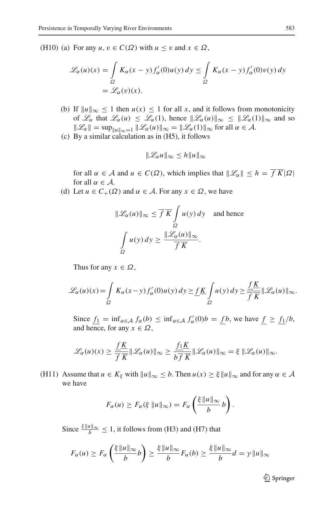(H10) (a) For any  $u, v \in C(\Omega)$  with  $u \le v$  and  $x \in \Omega$ ,

$$
\mathcal{L}_{\alpha}(u)(x) = \int_{\Omega} K_{\alpha}(x - y) f_{\alpha}'(0) u(y) dy \le \int_{\Omega} K_{\alpha}(x - y) f_{\alpha}'(0) v(y) dy
$$
  
=  $\mathcal{L}_{\alpha}(v)(x)$ .

- (b) If  $||u||_{\infty} \le 1$  then  $u(x) \le 1$  for all *x*, and it follows from monotonicity of  $\mathcal{L}_{\alpha}$  that  $\mathcal{L}_{\alpha}(u) \leq \mathcal{L}_{\alpha}(1)$ , hence  $\|\mathcal{L}_{\alpha}(u)\|_{\infty} \leq \|\mathcal{L}_{\alpha}(1)\|_{\infty}$  and so  $\|\mathscr{L}_{\alpha}\| = \sup_{\|u\|_{\infty}=1} \|\mathscr{L}_{\alpha}(u)\|_{\infty} = \|\mathscr{L}_{\alpha}(1)\|_{\infty}$  for all  $\alpha \in \mathcal{A}$ .
- (c) By a similar calculation as in (H5), it follows

$$
\|\mathcal{L}_{\alpha}u\|_{\infty} \leq h\|u\|_{\infty}
$$

for all  $\alpha \in \mathcal{A}$  and  $u \in C(\Omega)$ , which implies that  $\|\mathcal{L}_{\alpha}\| \leq h = \overline{f} \overline{K}|\Omega|$ for all  $\alpha \in \mathcal{A}$ .

(d) Let  $u \in C_+(\Omega)$  and  $\alpha \in A$ . For any  $x \in \Omega$ , we have

$$
\|\mathcal{L}_{\alpha}(u)\|_{\infty} \leq \overline{f}\ \overline{K} \int_{\Omega} u(y) \, dy \quad \text{and hence}
$$

$$
\int_{\Omega} u(y) \, dy \geq \frac{\|\mathcal{L}_{\alpha}(u)\|_{\infty}}{\overline{f}\ \overline{K}}.
$$

Thus for any  $x \in \Omega$ ,

$$
\mathscr{L}_{\alpha}(u)(x) = \int_{\Omega} K_{\alpha}(x - y) f'_{\alpha}(0) u(y) dy \ge \underline{f K \int_{\Omega} u(y) dy} \ge \frac{\underline{f K}}{\overline{f K}} ||\mathscr{L}_{\alpha}(u)||_{\infty}.
$$

Since  $f_1 = \inf_{\alpha \in A} f_\alpha(b) \le \inf_{\alpha \in A} f'_\alpha(0)b = f(b)$ , we have  $f \ge \frac{f_1}{b}$ , and hence, for any  $x \in \Omega$ ,

$$
\mathcal{L}_{\alpha}(u)(x) \geq \frac{fK}{\overline{f}\overline{K}} \|\mathcal{L}_{\alpha}(u)\|_{\infty} \geq \frac{f_1K}{b\overline{f}\overline{K}} \|\mathcal{L}_{\alpha}(u)\|_{\infty} = \xi \|\mathcal{L}_{\alpha}(u)\|_{\infty}.
$$

(H11) Assume that  $u \in K_{\xi}$  with  $||u||_{\infty} \le b$ . Then  $u(x) \ge \xi ||u||_{\infty}$  and for any  $\alpha \in \mathcal{A}$ we have

$$
F_{\alpha}(u) \ge F_{\alpha}(\xi \|u\|_{\infty}) = F_{\alpha}\left(\frac{\xi \|u\|_{\infty}}{b}b\right).
$$

Since  $\frac{\xi ||u||_{\infty}}{b} \leq 1$ , it follows from (H3) and (H7) that

$$
F_{\alpha}(u) \ge F_{\alpha}\left(\frac{\xi \|u\|_{\infty}}{b}b\right) \ge \frac{\xi \|u\|_{\infty}}{b}F_{\alpha}(b) \ge \frac{\xi \|u\|_{\infty}}{b}d = \gamma \|u\|_{\infty}
$$

 $\mathcal{D}$  Springer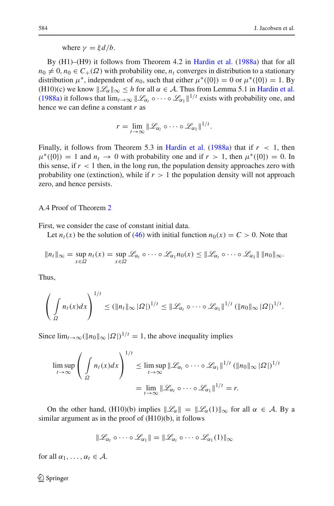where  $\nu = \xi d/b$ .

By (H1)–(H9) it follows from Theorem 4.2 in [Hardin et al.](#page-40-7) [\(1988a\)](#page-40-7) that for all  $n_0 \neq 0$ ,  $n_0 \in C_+(\Omega)$  with probability one,  $n_t$  converges in distribution to a stationary distribution  $\mu^*$ , independent of  $n_0$ , such that either  $\mu^*(\{0\}) = 0$  or  $\mu^*(\{0\}) = 1$ . By (H10)(c) we know  $\mathcal{L}_{\alpha}\Vert_{\infty} < h$  for all  $\alpha \in \mathcal{A}$ . Thus from Lemma 5.1 in [Hardin et al.](#page-40-7) [\(1988a](#page-40-7)) it follows that  $\lim_{t\to\infty} ||\mathcal{L}_{\alpha}$ ,  $\circ\cdots\circ\mathcal{L}_{\alpha_1}||^{1/t}$  exists with probability one, and hence we can define a constant *r* as

$$
r=\lim_{t\to\infty}\|\mathscr{L}_{\alpha_t}\circ\cdots\circ\mathscr{L}_{\alpha_1}\|^{1/t}.
$$

Finally, it follows from Theorem 5.3 in [Hardin et al.](#page-40-7)  $(1988a)$  that if  $r < 1$ , then  $\mu^*(\{0\}) = 1$  and  $n_t \to 0$  with probability one and if  $r > 1$ , then  $\mu^*(\{0\}) = 0$ . In this sense, if  $r < 1$  then, in the long run, the population density approaches zero with probability one (extinction), while if  $r > 1$  the population density will not approach zero, and hence persists.

A.4 Proof of Theorem [2](#page-18-1)

First, we consider the case of constant initial data.

Let  $n_t(x)$  be the solution of [\(46\)](#page-17-1) with initial function  $n_0(x) = C > 0$ . Note that

$$
||n_t||_{\infty} = \sup_{x \in \Omega} n_t(x) = \sup_{x \in \Omega} \mathcal{L}_{\alpha_t} \circ \cdots \circ \mathcal{L}_{\alpha_1} n_0(x) \le ||\mathcal{L}_{\alpha_t} \circ \cdots \circ \mathcal{L}_{\alpha_1}|| \, ||n_0||_{\infty}.
$$

Thus,

$$
\left(\int\limits_{\Omega}n_t(x)dx\right)^{1/t}\leq (\|n_t\|_{\infty}|\Omega|)^{1/t}\leq \|\mathcal{L}_{\alpha_t}\circ\cdots\circ\mathcal{L}_{\alpha_1}\|^{1/t}(\|n_0\|_{\infty}|\Omega|)^{1/t}.
$$

Since  $\lim_{t\to\infty} (\|n_0\|_{\infty} |\Omega|)^{1/t} = 1$ , the above inequality implies

$$
\limsup_{t \to \infty} \left( \int_{\Omega} n_t(x) dx \right)^{1/t} \leq \limsup_{t \to \infty} \|\mathcal{L}_{\alpha_t} \circ \cdots \circ \mathcal{L}_{\alpha_1}\|^{1/t} \left( \|n_0\|_{\infty} |\Omega| \right)^{1/t}
$$

$$
= \lim_{t \to \infty} \|\mathcal{L}_{\alpha_t} \circ \cdots \circ \mathcal{L}_{\alpha_1}\|^{1/t} = r.
$$

On the other hand, (H10)(b) implies  $\|\mathcal{L}_{\alpha}\| = \|\mathcal{L}_{\alpha}(1)\|_{\infty}$  for all  $\alpha \in \mathcal{A}$ . By a similar argument as in the proof of (H10)(b), it follows

$$
\|\mathscr{L}_{\alpha_1}\circ\cdots\circ\mathscr{L}_{\alpha_1}\|=\|\mathscr{L}_{\alpha_1}\circ\cdots\circ\mathscr{L}_{\alpha_1}(1)\|_{\infty}
$$

for all  $\alpha_1, \ldots, \alpha_t \in \mathcal{A}$ .

 $\bigcircled{2}$  Springer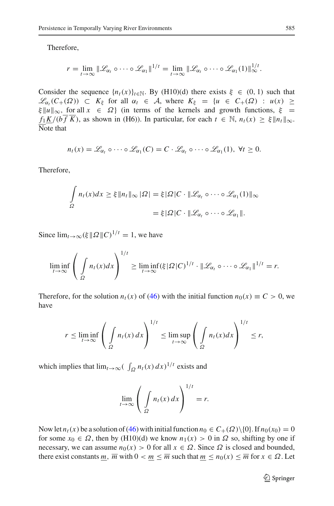Therefore,

$$
r=\lim_{t\to\infty}\|\mathscr{L}_{\alpha_t}\circ\cdots\circ\mathscr{L}_{\alpha_1}\|^{1/t}=\lim_{t\to\infty}\|\mathscr{L}_{\alpha_t}\circ\cdots\circ\mathscr{L}_{\alpha_1}(1)\|_{\infty}^{1/t}.
$$

Consider the sequence  $\{n_t(x)\}_{t \in \mathbb{N}}$ . By (H10)(d) there exists  $\xi \in (0, 1)$  such that  $\mathscr{L}_{\alpha}$ <sub>*(C*+( $\Omega$ )) ⊂  $K_{\xi}$  for all  $\alpha$ <sub>*t*</sub> ∈ *A*, where  $K_{\xi} = \{u \in C_{+}(\Omega) : u(x) \geq$ </sub>  $\xi ||u||_{\infty}$ , for all  $x \in \Omega$  (in terms of the kernels and growth functions,  $\xi =$  $f_1$ *K*/(*bf*  $\overline{K}$ ), as shown in (H6)). In particular, for each  $t \in \mathbb{N}$ ,  $n_t(x) \geq \xi \| n_t \|_{\infty}$ .  $\overline{\text{Note}}$  that

$$
n_t(x) = \mathscr{L}_{\alpha_t} \circ \cdots \circ \mathscr{L}_{\alpha_1}(C) = C \cdot \mathscr{L}_{\alpha_t} \circ \cdots \circ \mathscr{L}_{\alpha_1}(1), \ \forall t \geq 0.
$$

Therefore,

$$
\int_{\Omega} n_t(x)dx \ge \xi \|n_t\|_{\infty} |\Omega| = \xi |\Omega| C \cdot \|\mathcal{L}_{\alpha_t} \circ \cdots \circ \mathcal{L}_{\alpha_1}(1)\|_{\infty}
$$

$$
= \xi |\Omega| C \cdot \|\mathcal{L}_{\alpha_t} \circ \cdots \circ \mathcal{L}_{\alpha_1}\|.
$$

Since  $\lim_{t\to\infty} (\xi \|\Omega\|C)^{1/t} = 1$ , we have

$$
\liminf_{t\to\infty}\left(\int\limits_{\Omega}n_t(x)dx\right)^{1/t}\geq \liminf_{t\to\infty}(\xi|\Omega|C)^{1/t}\cdot\|\mathscr{L}_{\alpha_t}\circ\cdots\circ\mathscr{L}_{\alpha_1}\|^{1/t}=r.
$$

Therefore, for the solution  $n_t(x)$  of [\(46\)](#page-17-1) with the initial function  $n_0(x) \equiv C > 0$ , we have

$$
r \leq \liminf_{t \to \infty} \left( \int_{\Omega} n_t(x) \, dx \right)^{1/t} \leq \limsup_{t \to \infty} \left( \int_{\Omega} n_t(x) dx \right)^{1/t} \leq r,
$$

which implies that  $\lim_{t\to\infty} (\int_{\Omega} n_t(x) dx)^{1/t}$  exists and

$$
\lim_{t \to \infty} \left( \int_{\Omega} n_t(x) \, dx \right)^{1/t} = r.
$$

Now let  $n_t(x)$  be a solution of [\(46\)](#page-17-1) with initial function  $n_0 \in C_+(\Omega) \setminus \{0\}$ . If  $n_0(x_0) = 0$ for some  $x_0 \in \Omega$ , then by (H10)(d) we know  $n_1(x) > 0$  in  $\Omega$  so, shifting by one if necessary, we can assume  $n_0(x) > 0$  for all  $x \in \Omega$ . Since  $\Omega$  is closed and bounded, there exist constants *m*,  $\overline{m}$  with  $0 < m \leq \overline{m}$  such that  $m \leq n_0(x) \leq \overline{m}$  for  $x \in \Omega$ . Let

<sup>2</sup> Springer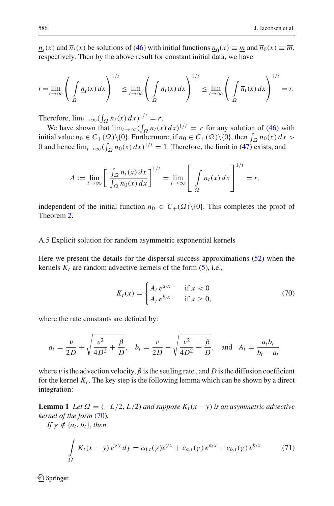$n_t(x)$  and  $\overline{n}_t(x)$  be solutions of [\(46\)](#page-17-1) with initial functions  $n_0(x) \equiv m$  and  $\overline{n}_0(x) \equiv \overline{m}$ , respectively. Then by the above result for constant initial data, we have

$$
r = \lim_{t \to \infty} \left( \int_{\Omega} \frac{n_t(x) dx}{\sqrt{2}} \right)^{1/t} \leq \lim_{t \to \infty} \left( \int_{\Omega} n_t(x) dx \right)^{1/t} \leq \lim_{t \to \infty} \left( \int_{\Omega} \overline{n_t}(x) dx \right)^{1/t} = r.
$$

Therefore,  $\lim_{t\to\infty} (\int_{\Omega} n_t(x) dx)^{1/t} = r$ .

We have shown that  $\lim_{t\to\infty} (\int_{\Omega} n_t(x) dx)^{1/t} = r$  for any solution of [\(46\)](#page-17-1) with initial value  $n_0 \in C_+(\Omega) \setminus \{0\}$ . Furthermore, if  $n_0 \in C_+(\Omega) \setminus \{0\}$ , then  $\int_{\Omega} n_0(x) dx >$ 0 and hence  $\lim_{t\to\infty} (\int_{\Omega} n_0(x) dx)^{1/t} = 1$ . Therefore, the limit in [\(47\)](#page-17-2) exists, and

$$
\Lambda := \lim_{t \to \infty} \left[ \frac{\int_{\Omega} n_t(x) dx}{\int_{\Omega} n_0(x) dx} \right]^{1/t} = \lim_{t \to \infty} \left[ \int_{\Omega} n_t(x) dx \right]^{1/t} = r,
$$

independent of the initial function  $n_0 \in C_+(\Omega) \setminus \{0\}$ . This completes the proof of Theorem [2.](#page-18-1)

A.5 Explicit solution for random asymmetric exponential kernels

Here we present the details for the dispersal success approximations [\(52\)](#page-22-1) when the kernels  $K_t$  are random advective kernels of the form  $(5)$ , i.e.,

$$
K_t(x) = \begin{cases} A_t e^{a_t x} & \text{if } x < 0\\ A_t e^{b_t x} & \text{if } x \ge 0, \end{cases}
$$
 (70)

<span id="page-37-0"></span>where the rate constants are defined by:

$$
a_t = \frac{v}{2D} + \sqrt{\frac{v^2}{4D^2} + \frac{\beta}{D}}, \quad b_t = \frac{v}{2D} - \sqrt{\frac{v^2}{4D^2} + \frac{\beta}{D}}, \quad \text{and} \quad A_t = \frac{a_t b_t}{b_t - a_t}
$$

where v is the advection velocity,  $\beta$  is the settling rate, and D is the diffusion coefficient for the kernel  $K_t$ . The key step is the following lemma which can be shown by a direct integration:

<span id="page-37-1"></span>**Lemma 1** *Let*  $\Omega = (-L/2, L/2)$  *and suppose*  $K_t(x - y)$  *is an asymmetric advective kernel of the form* [\(70\)](#page-37-0)*.*

*If*  $\gamma \notin \{a_t, b_t\}$ *, then* 

$$
\int_{\Omega} K_t(x - y) e^{\gamma y} dy = c_{0,t}(\gamma) e^{\gamma x} + c_{a,t}(\gamma) e^{a_t x} + c_{b,t}(\gamma) e^{b_t x}
$$
 (71)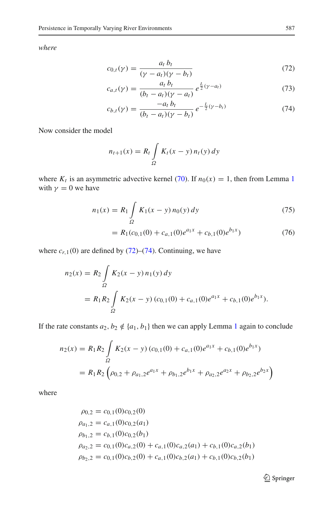<span id="page-38-0"></span>*where*

$$
c_{0,t}(\gamma) = \frac{a_t b_t}{(\gamma - a_t)(\gamma - b_t)}
$$
(72)

$$
c_{a,t}(\gamma) = \frac{a_t b_t}{(b_t - a_t)(\gamma - a_t)} e^{\frac{L}{2}(\gamma - a_t)}
$$
(73)

$$
c_{b,t}(\gamma) = \frac{-a_t b_t}{(b_t - a_t)(\gamma - b_t)} e^{-\frac{L}{2}(\gamma - b_t)}
$$
(74)

Now consider the model

$$
n_{t+1}(x) = R_t \int_{\Omega} K_t(x - y) n_t(y) dy
$$

<span id="page-38-1"></span>where  $K_t$  is an asymmetric advective kernel [\(70\)](#page-37-0). If  $n_0(x) = 1$  $n_0(x) = 1$ , then from Lemma 1 with  $\gamma = 0$  we have

$$
n_1(x) = R_1 \int_{\Omega} K_1(x - y) n_0(y) dy
$$
 (75)

$$
= R_1(c_{0,1}(0) + c_{a,1}(0)e^{a_1x} + c_{b,1}(0)e^{b_1x})
$$
\n(76)

where  $c_{r,1}(0)$  are defined by [\(72\)](#page-38-0)–[\(74\)](#page-38-0). Continuing, we have

$$
n_2(x) = R_2 \int_{\Omega} K_2(x - y) n_1(y) dy
$$
  
=  $R_1 R_2 \int_{\Omega} K_2(x - y) (c_{0,1}(0) + c_{a,1}(0)e^{a_1x} + c_{b,1}(0)e^{b_1x}).$ 

If the rate constants  $a_2, b_2 \notin \{a_1, b_1\}$  $a_2, b_2 \notin \{a_1, b_1\}$  $a_2, b_2 \notin \{a_1, b_1\}$  then we can apply Lemma 1 again to conclude

$$
n_2(x) = R_1 R_2 \int_{\Omega} K_2(x - y) (c_{0,1}(0) + c_{a,1}(0)e^{a_1 x} + c_{b,1}(0)e^{b_1 x})
$$
  
=  $R_1 R_2 \left( \rho_{0,2} + \rho_{a_1,2}e^{a_1 x} + \rho_{b_1,2}e^{b_1 x} + \rho_{a_2,2}e^{a_2 x} + \rho_{b_2,2}e^{b_2 x} \right)$ 

where

$$
\rho_{0,2} = c_{0,1}(0)c_{0,2}(0)
$$
\n
$$
\rho_{a_1,2} = c_{a,1}(0)c_{0,2}(a_1)
$$
\n
$$
\rho_{b_1,2} = c_{b,1}(0)c_{0,2}(b_1)
$$
\n
$$
\rho_{a_2,2} = c_{0,1}(0)c_{a,2}(0) + c_{a,1}(0)c_{a,2}(a_1) + c_{b,1}(0)c_{a,2}(b_1)
$$
\n
$$
\rho_{b_2,2} = c_{0,1}(0)c_{b,2}(0) + c_{a,1}(0)c_{b,2}(a_1) + c_{b,1}(0)c_{b,2}(b_1)
$$

<sup>2</sup> Springer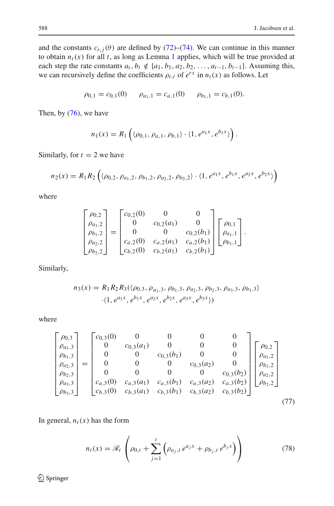and the constants  $c_{r,i}(\theta)$  are defined by [\(72\)](#page-38-0)–[\(74\)](#page-38-0). We can continue in this manner to obtain  $n_t(x)$  for all *t*, as long as Lemma [1](#page-37-1) applies, which will be true provided at each step the rate constants  $a_t$ ,  $b_t \notin \{a_1, b_1, a_2, b_2, \ldots, a_{t-1}, b_{t-1}\}$ . Assuming this, we can recursively define the coefficients  $\rho_{r,t}$  of  $e^{rx}$  in  $n_t(x)$  as follows. Let

$$
\rho_{0,1} = c_{0,1}(0) \qquad \rho_{a_1,1} = c_{a,1}(0) \qquad \rho_{b_1,1} = c_{b,1}(0).
$$

Then, by [\(76\)](#page-38-1), we have

$$
n_1(x) = R_1\left(\langle \rho_{0,1}, \rho_{a,1}, \rho_{b,1} \rangle \cdot \langle 1, e^{a_1x}, e^{b_1x} \rangle\right).
$$

Similarly, for  $t = 2$  we have

$$
n_2(x) = R_1 R_2 \left( \langle \rho_{0,2}, \rho_{a_1,2}, \rho_{b_1,2}, \rho_{a_2,2}, \rho_{b_2,2} \rangle \cdot \langle 1, e^{a_1 x}, e^{b_1 x}, e^{a_2 x}, e^{b_2 x} \rangle \right)
$$

where

$$
\begin{bmatrix}\n\rho_{0,2} \\
\rho_{a_1,2} \\
\rho_{b_1,2} \\
\rho_{a_2,2} \\
\rho_{b_2,2}\n\end{bmatrix} = \begin{bmatrix}\nc_{0,2}(0) & 0 & 0 \\
0 & c_{0,2}(a_1) & 0 \\
0 & 0 & c_{0,2}(b_1) \\
c_{a,2}(0) & c_{a,2}(a_1) & c_{a,2}(b_1) \\
c_{b,2}(0) & c_{b,2}(a_1) & c_{b,2}(b_1)\n\end{bmatrix} \begin{bmatrix}\n\rho_{0,1} \\
\rho_{a_1,1} \\
\rho_{b_1,1}\n\end{bmatrix}.
$$

Similarly,

$$
n_3(x) = R_1 R_2 R_3(\langle \rho_{0,3}, \rho_{a_1,3}, \rho_{b_1,3}, \rho_{a_2,3}, \rho_{b_2,3}, \rho_{a_3,3}, \rho_{b_3,3}\rangle
$$

$$
\cdot \langle 1, e^{a_1x}, e^{b_1x}, e^{a_2x}, e^{b_2x}, e^{a_3x}, e^{b_3x}\rangle)
$$

where

$$
\begin{bmatrix}\n\rho_{0,3} \\
\rho_{a_1,3} \\
\rho_{b_1,3} \\
\rho_{a_2,3} \\
\rho_{b_2,3} \\
\rho_{a_3,3} \\
\rho_{b_3,3}\n\end{bmatrix} = \begin{bmatrix}\nc_{0,3}(0) & 0 & 0 & 0 & 0 \\
0 & c_{0,3}(a_1) & 0 & 0 & 0 \\
0 & 0 & c_{0,3}(b_1) & 0 & 0 \\
0 & 0 & 0 & c_{0,3}(a_2) & 0 \\
0 & 0 & 0 & 0 & c_{0,3}(b_2) \\
c_{a,3}(0) & c_{a,3}(a_1) & c_{a,3}(b_1) & c_{a,3}(a_2) & c_{a,3}(b_2) \\
c_{b,3}(0) & c_{b,3}(a_1) & c_{b,3}(b_1) & c_{b,3}(a_2) & c_{b,3}(b_2)\n\end{bmatrix} \begin{bmatrix}\n\rho_{0,2} \\
\rho_{a_1,2} \\
\rho_{b_1,2} \\
\rho_{a_2,2} \\
\rho_{b_2,2} \\
\rho_{b_2,2}\n\end{bmatrix}
$$
\n(77)

<span id="page-39-0"></span>In general,  $n_t(x)$  has the form

$$
n_t(x) = \mathcal{R}_t \left( \rho_{0,t} + \sum_{j=1}^t \left( \rho_{a_j,t} \, e^{a_j x} + \rho_{b_j,t} \, e^{b_j x} \right) \right) \tag{78}
$$

<sup>2</sup> Springer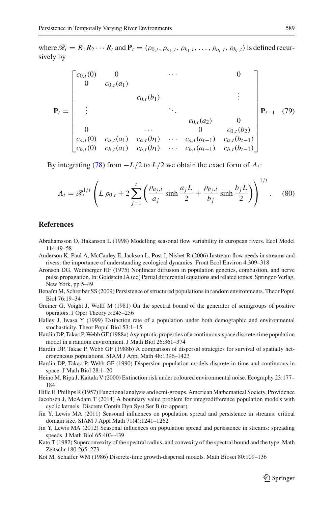where  $\mathcal{R}_t = R_1 R_2 \cdots R_t$  and  $P_t = \langle \rho_{0,t}, \rho_{a_1,t}, \rho_{b_1,t}, \ldots, \rho_{a_t,t}, \rho_{b_t,t} \rangle$  is defined recursively by

$$
\mathbf{P}_{t} = \begin{bmatrix} c_{0,t}(0) & 0 & \cdots & 0 \\ 0 & c_{0,t}(a_{1}) & & & \\ & \vdots & & \ddots & \\ 0 & & & c_{0,t}(b_{1}) & & \\ 0 & & \cdots & 0 & c_{0,t}(b_{2}) \\ c_{a,t}(0) & c_{a,t}(a_{1}) & c_{a,t}(b_{1}) & \cdots & c_{a,t}(a_{t-1}) & c_{a,t}(b_{t-1}) \\ c_{b,t}(0) & c_{b,t}(a_{1}) & c_{b,t}(b_{1}) & \cdots & c_{b,t}(a_{t-1}) & c_{b,t}(b_{t-1}) \end{bmatrix} \mathbf{P}_{t-1} \quad (79)
$$

By integrating [\(78\)](#page-39-0) from  $-L/2$  to  $L/2$  we obtain the exact form of  $\Lambda_t$ :

$$
\Lambda_t = \mathcal{R}_t^{1/t} \left( L \rho_{0,t} + 2 \sum_{j=1}^t \left( \frac{\rho_{a_j,t}}{a_j} \sinh \frac{a_j L}{2} + \frac{\rho_{b_j,t}}{b_j} \sinh \frac{b_j L}{2} \right) \right)^{1/t}.
$$
 (80)

#### **References**

- <span id="page-40-3"></span>Abrahamsson O, Hakanson L (1998) Modelling seasonal flow variability in european rivers. Ecol Model 114:49–58
- <span id="page-40-4"></span>Anderson K, Paul A, McCauley E, Jackson L, Post J, Nisbet R (2006) Instream flow needs in streams and rivers: the importance of understanding ecological dynamics. Front Ecol Environ 4:309–318
- <span id="page-40-0"></span>Aronson DG, Weinberger HF (1975) Nonlinear diffusion in population genetics, combustion, and nerve pulse propagation. In: Goldstein JA (ed) Partial differential equations and related topics. Springer-Verlag, New York, pp 5–49
- <span id="page-40-9"></span>Benaïm M, Schreiber SS (2009) Persistence of structured populations in random environments. Theor Popul Biol 76:19–34
- <span id="page-40-11"></span>Greiner G, Voight J, Wolff M (1981) On the spectral bound of the generator of semigroups of positive operators. J Oper Theory 5:245–256

<span id="page-40-14"></span>Halley J, Iwasa Y (1999) Extinction rate of a population under both demographic and environmental stochasticity. Theor Popul Biol 53:1–15

<span id="page-40-7"></span>Hardin DP, Takac P, Webb GF (1988a) Asymptotic properties of a continuous-space discrete-time population model in a random environment. J Math Biol 26:361–374

<span id="page-40-8"></span>Hardin DP, Takac P, Webb GF (1988b) A comparison of dispersal strategies for survival of spatially heterogeneous populations. SIAM J Appl Math 48:1396–1423

<span id="page-40-6"></span>Hardin DP, Takac P, Webb GF (1990) Dispersion population models discrete in time and continuous in space. J Math Biol 28:1–20

<span id="page-40-15"></span>Heino M, Ripa J, Kaitala V (2000) Extinction risk under coloured environmental noise. Ecography 23:177– 184

<span id="page-40-10"></span>Hille E, Phillips R (1957) Functional analysis and semi-groups. American Mathematical Society, Providence

<span id="page-40-13"></span>Jacobsen J, McAdam T (2014) A boundary value problem for integrodifference population models with cyclic kernels. Discrete Contin Dyn Syst Ser B (to appear)

<span id="page-40-1"></span>Jin Y, Lewis MA (2011) Seasonal influences on population spread and persistence in streams: critical domain size. SIAM J Appl Math 71(4):1241–1262

<span id="page-40-2"></span>Jin Y, Lewis MA (2012) Seasonal influences on population spread and persistence in streams: spreading speeds. J Math Biol 65:403–439

<span id="page-40-12"></span>Kato T (1982) Superconvexity of the spectral radius, and convexity of the spectral bound and the type. Math Zeitschr 180:265–273

<span id="page-40-5"></span>Kot M, Schaffer WM (1986) Discrete-time growth-dispersal models. Math Biosci 80:109–136